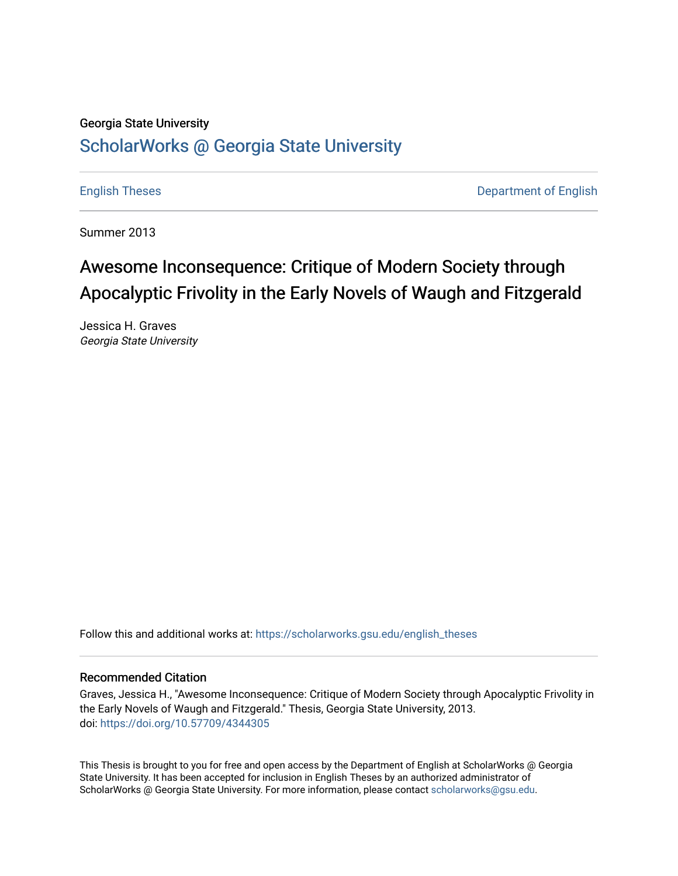# Georgia State University [ScholarWorks @ Georgia State University](https://scholarworks.gsu.edu/)

[English Theses](https://scholarworks.gsu.edu/english_theses) **Department of English** 

Summer 2013

# Awesome Inconsequence: Critique of Modern Society through Apocalyptic Frivolity in the Early Novels of Waugh and Fitzgerald

Jessica H. Graves Georgia State University

Follow this and additional works at: [https://scholarworks.gsu.edu/english\\_theses](https://scholarworks.gsu.edu/english_theses?utm_source=scholarworks.gsu.edu%2Fenglish_theses%2F152&utm_medium=PDF&utm_campaign=PDFCoverPages)

### Recommended Citation

Graves, Jessica H., "Awesome Inconsequence: Critique of Modern Society through Apocalyptic Frivolity in the Early Novels of Waugh and Fitzgerald." Thesis, Georgia State University, 2013. doi: <https://doi.org/10.57709/4344305>

This Thesis is brought to you for free and open access by the Department of English at ScholarWorks @ Georgia State University. It has been accepted for inclusion in English Theses by an authorized administrator of ScholarWorks @ Georgia State University. For more information, please contact [scholarworks@gsu.edu](mailto:scholarworks@gsu.edu).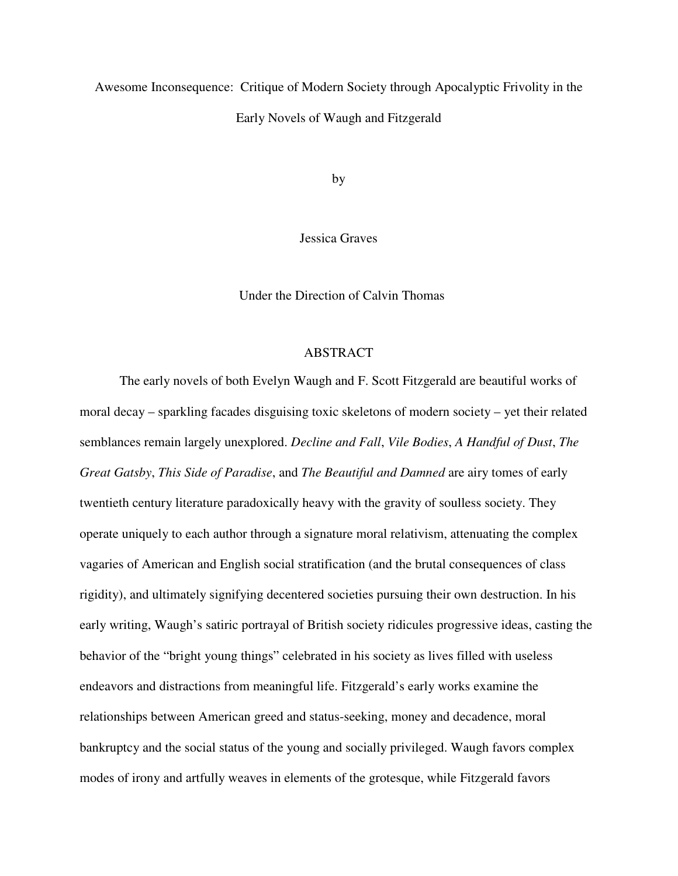Awesome Inconsequence: Critique of Modern Society through Apocalyptic Frivolity in the Early Novels of Waugh and Fitzgerald

by

Jessica Graves

Under the Direction of Calvin Thomas

# ABSTRACT

The early novels of both Evelyn Waugh and F. Scott Fitzgerald are beautiful works of moral decay – sparkling facades disguising toxic skeletons of modern society – yet their related semblances remain largely unexplored. *Decline and Fall*, *Vile Bodies*, *A Handful of Dust*, *The Great Gatsby*, *This Side of Paradise*, and *The Beautiful and Damned* are airy tomes of early twentieth century literature paradoxically heavy with the gravity of soulless society. They operate uniquely to each author through a signature moral relativism, attenuating the complex vagaries of American and English social stratification (and the brutal consequences of class rigidity), and ultimately signifying decentered societies pursuing their own destruction. In his early writing, Waugh's satiric portrayal of British society ridicules progressive ideas, casting the behavior of the "bright young things" celebrated in his society as lives filled with useless endeavors and distractions from meaningful life. Fitzgerald's early works examine the relationships between American greed and status-seeking, money and decadence, moral bankruptcy and the social status of the young and socially privileged. Waugh favors complex modes of irony and artfully weaves in elements of the grotesque, while Fitzgerald favors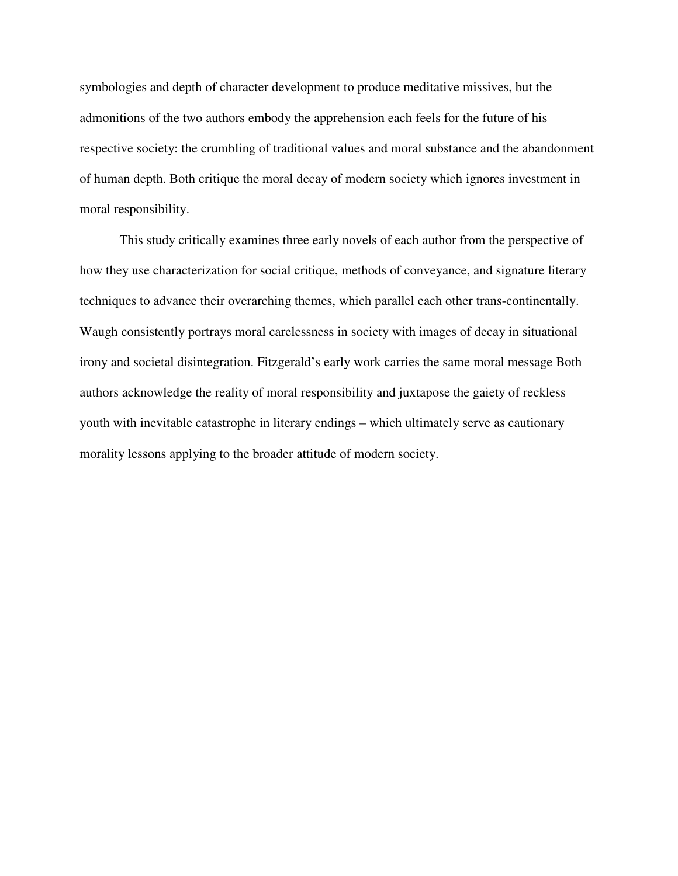symbologies and depth of character development to produce meditative missives, but the admonitions of the two authors embody the apprehension each feels for the future of his respective society: the crumbling of traditional values and moral substance and the abandonment of human depth. Both critique the moral decay of modern society which ignores investment in moral responsibility.

 This study critically examines three early novels of each author from the perspective of how they use characterization for social critique, methods of conveyance, and signature literary techniques to advance their overarching themes, which parallel each other trans-continentally. Waugh consistently portrays moral carelessness in society with images of decay in situational irony and societal disintegration. Fitzgerald's early work carries the same moral message Both authors acknowledge the reality of moral responsibility and juxtapose the gaiety of reckless youth with inevitable catastrophe in literary endings – which ultimately serve as cautionary morality lessons applying to the broader attitude of modern society.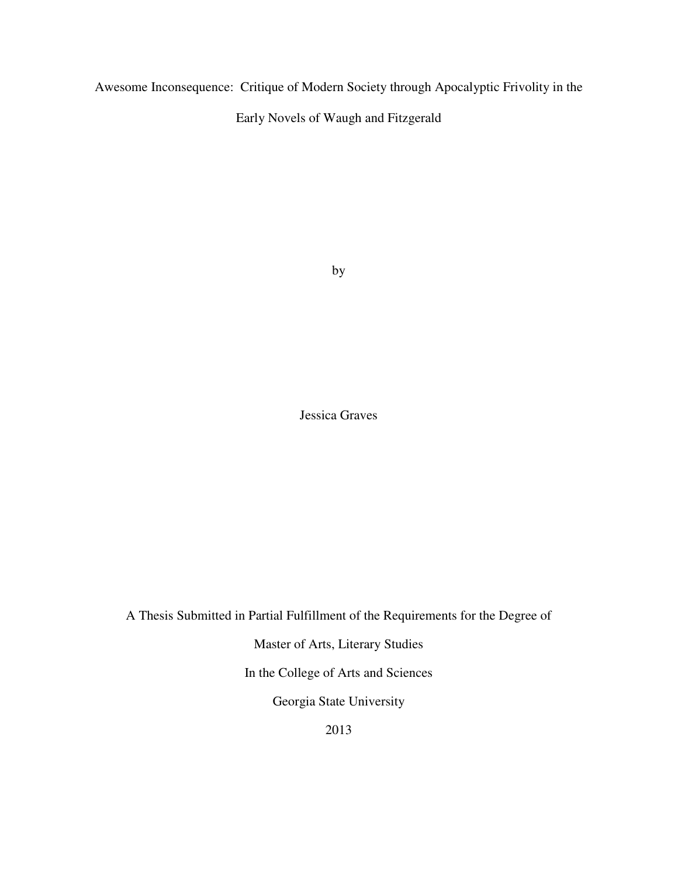Awesome Inconsequence: Critique of Modern Society through Apocalyptic Frivolity in the

Early Novels of Waugh and Fitzgerald

by

Jessica Graves

A Thesis Submitted in Partial Fulfillment of the Requirements for the Degree of

Master of Arts, Literary Studies

In the College of Arts and Sciences

Georgia State University

2013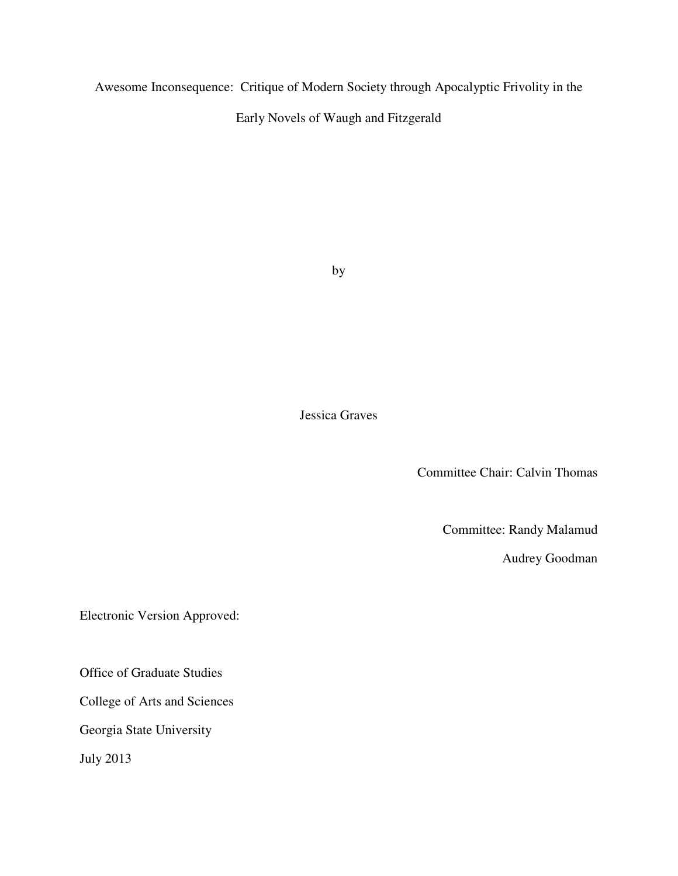Awesome Inconsequence: Critique of Modern Society through Apocalyptic Frivolity in the

Early Novels of Waugh and Fitzgerald

by

Jessica Graves

Committee Chair: Calvin Thomas

Committee: Randy Malamud

Audrey Goodman

Electronic Version Approved:

Office of Graduate Studies

College of Arts and Sciences

Georgia State University

July 2013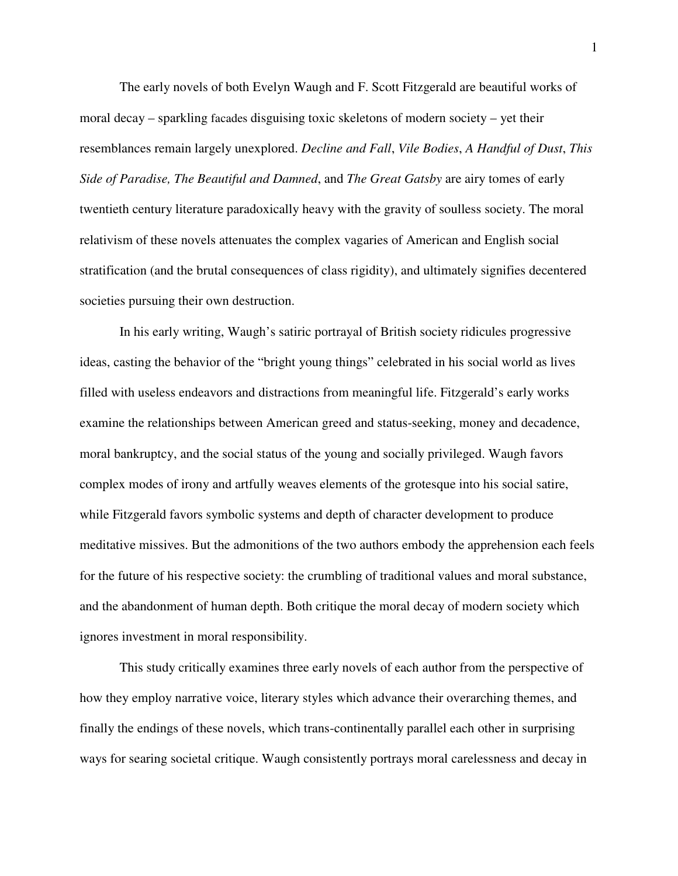The early novels of both Evelyn Waugh and F. Scott Fitzgerald are beautiful works of moral decay – sparkling facades disguising toxic skeletons of modern society – yet their resemblances remain largely unexplored. *Decline and Fall*, *Vile Bodies*, *A Handful of Dust*, *This Side of Paradise, The Beautiful and Damned*, and *The Great Gatsby* are airy tomes of early twentieth century literature paradoxically heavy with the gravity of soulless society. The moral relativism of these novels attenuates the complex vagaries of American and English social stratification (and the brutal consequences of class rigidity), and ultimately signifies decentered societies pursuing their own destruction.

In his early writing, Waugh's satiric portrayal of British society ridicules progressive ideas, casting the behavior of the "bright young things" celebrated in his social world as lives filled with useless endeavors and distractions from meaningful life. Fitzgerald's early works examine the relationships between American greed and status-seeking, money and decadence, moral bankruptcy, and the social status of the young and socially privileged. Waugh favors complex modes of irony and artfully weaves elements of the grotesque into his social satire, while Fitzgerald favors symbolic systems and depth of character development to produce meditative missives. But the admonitions of the two authors embody the apprehension each feels for the future of his respective society: the crumbling of traditional values and moral substance, and the abandonment of human depth. Both critique the moral decay of modern society which ignores investment in moral responsibility.

 This study critically examines three early novels of each author from the perspective of how they employ narrative voice, literary styles which advance their overarching themes, and finally the endings of these novels, which trans-continentally parallel each other in surprising ways for searing societal critique. Waugh consistently portrays moral carelessness and decay in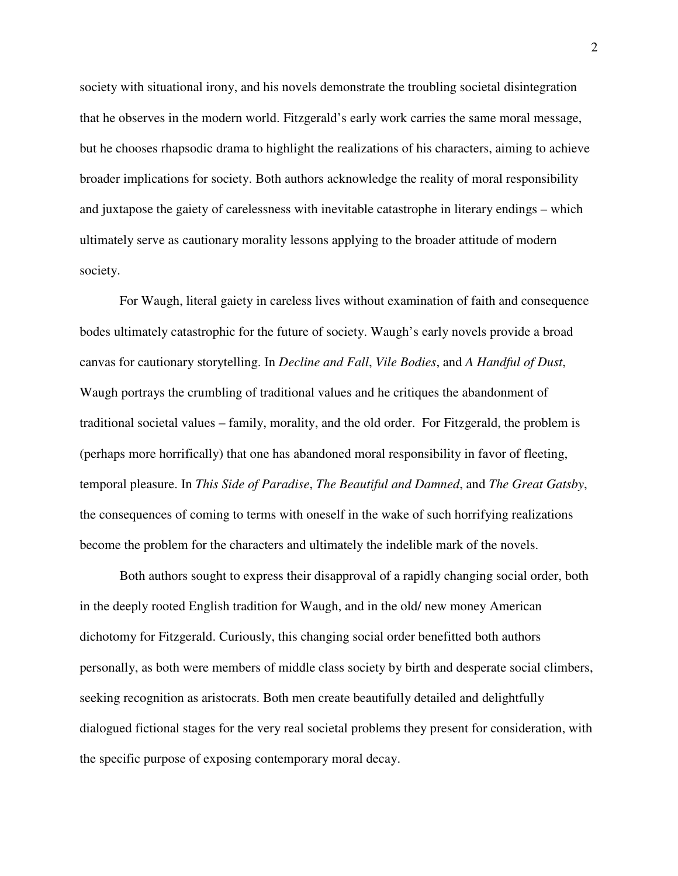society with situational irony, and his novels demonstrate the troubling societal disintegration that he observes in the modern world. Fitzgerald's early work carries the same moral message, but he chooses rhapsodic drama to highlight the realizations of his characters, aiming to achieve broader implications for society. Both authors acknowledge the reality of moral responsibility and juxtapose the gaiety of carelessness with inevitable catastrophe in literary endings – which ultimately serve as cautionary morality lessons applying to the broader attitude of modern society.

For Waugh, literal gaiety in careless lives without examination of faith and consequence bodes ultimately catastrophic for the future of society. Waugh's early novels provide a broad canvas for cautionary storytelling. In *Decline and Fall*, *Vile Bodies*, and *A Handful of Dust*, Waugh portrays the crumbling of traditional values and he critiques the abandonment of traditional societal values – family, morality, and the old order. For Fitzgerald, the problem is (perhaps more horrifically) that one has abandoned moral responsibility in favor of fleeting, temporal pleasure. In *This Side of Paradise*, *The Beautiful and Damned*, and *The Great Gatsby*, the consequences of coming to terms with oneself in the wake of such horrifying realizations become the problem for the characters and ultimately the indelible mark of the novels.

Both authors sought to express their disapproval of a rapidly changing social order, both in the deeply rooted English tradition for Waugh, and in the old/ new money American dichotomy for Fitzgerald. Curiously, this changing social order benefitted both authors personally, as both were members of middle class society by birth and desperate social climbers, seeking recognition as aristocrats. Both men create beautifully detailed and delightfully dialogued fictional stages for the very real societal problems they present for consideration, with the specific purpose of exposing contemporary moral decay.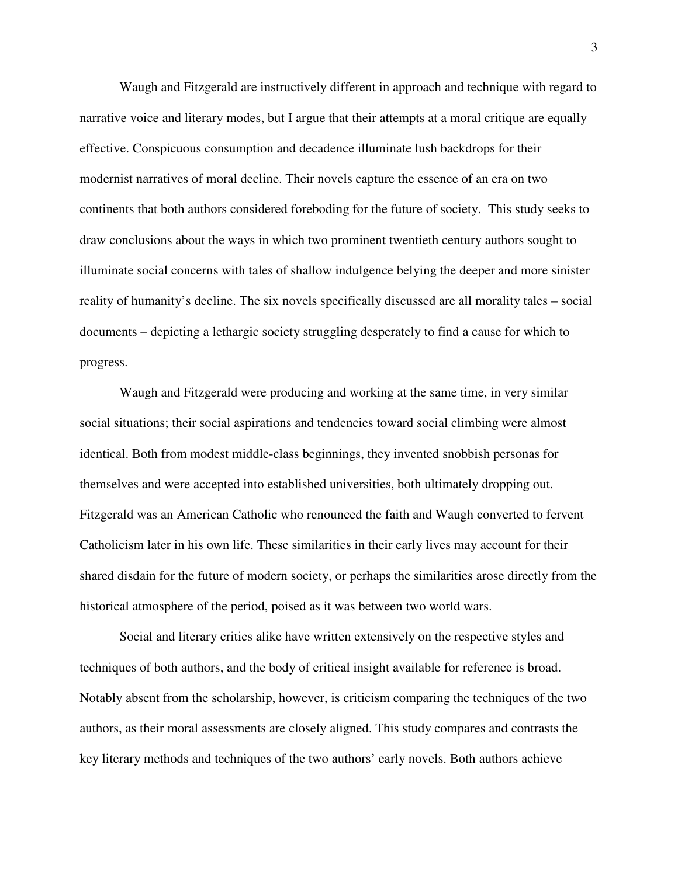Waugh and Fitzgerald are instructively different in approach and technique with regard to narrative voice and literary modes, but I argue that their attempts at a moral critique are equally effective. Conspicuous consumption and decadence illuminate lush backdrops for their modernist narratives of moral decline. Their novels capture the essence of an era on two continents that both authors considered foreboding for the future of society. This study seeks to draw conclusions about the ways in which two prominent twentieth century authors sought to illuminate social concerns with tales of shallow indulgence belying the deeper and more sinister reality of humanity's decline. The six novels specifically discussed are all morality tales – social documents – depicting a lethargic society struggling desperately to find a cause for which to progress.

 Waugh and Fitzgerald were producing and working at the same time, in very similar social situations; their social aspirations and tendencies toward social climbing were almost identical. Both from modest middle-class beginnings, they invented snobbish personas for themselves and were accepted into established universities, both ultimately dropping out. Fitzgerald was an American Catholic who renounced the faith and Waugh converted to fervent Catholicism later in his own life. These similarities in their early lives may account for their shared disdain for the future of modern society, or perhaps the similarities arose directly from the historical atmosphere of the period, poised as it was between two world wars.

 Social and literary critics alike have written extensively on the respective styles and techniques of both authors, and the body of critical insight available for reference is broad. Notably absent from the scholarship, however, is criticism comparing the techniques of the two authors, as their moral assessments are closely aligned. This study compares and contrasts the key literary methods and techniques of the two authors' early novels. Both authors achieve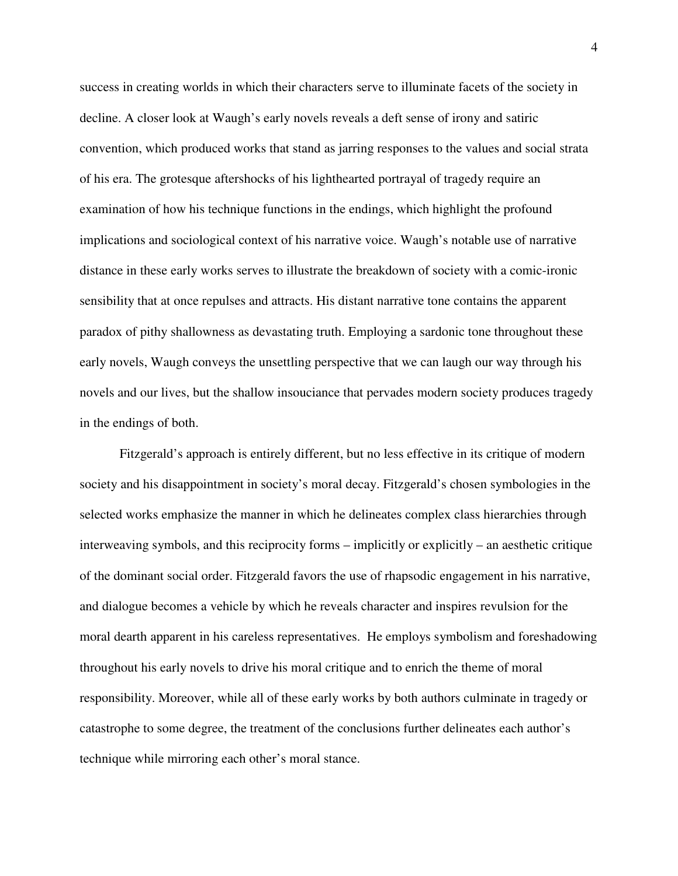success in creating worlds in which their characters serve to illuminate facets of the society in decline. A closer look at Waugh's early novels reveals a deft sense of irony and satiric convention, which produced works that stand as jarring responses to the values and social strata of his era. The grotesque aftershocks of his lighthearted portrayal of tragedy require an examination of how his technique functions in the endings, which highlight the profound implications and sociological context of his narrative voice. Waugh's notable use of narrative distance in these early works serves to illustrate the breakdown of society with a comic-ironic sensibility that at once repulses and attracts. His distant narrative tone contains the apparent paradox of pithy shallowness as devastating truth. Employing a sardonic tone throughout these early novels, Waugh conveys the unsettling perspective that we can laugh our way through his novels and our lives, but the shallow insouciance that pervades modern society produces tragedy in the endings of both.

Fitzgerald's approach is entirely different, but no less effective in its critique of modern society and his disappointment in society's moral decay. Fitzgerald's chosen symbologies in the selected works emphasize the manner in which he delineates complex class hierarchies through interweaving symbols, and this reciprocity forms – implicitly or explicitly – an aesthetic critique of the dominant social order. Fitzgerald favors the use of rhapsodic engagement in his narrative, and dialogue becomes a vehicle by which he reveals character and inspires revulsion for the moral dearth apparent in his careless representatives. He employs symbolism and foreshadowing throughout his early novels to drive his moral critique and to enrich the theme of moral responsibility. Moreover, while all of these early works by both authors culminate in tragedy or catastrophe to some degree, the treatment of the conclusions further delineates each author's technique while mirroring each other's moral stance.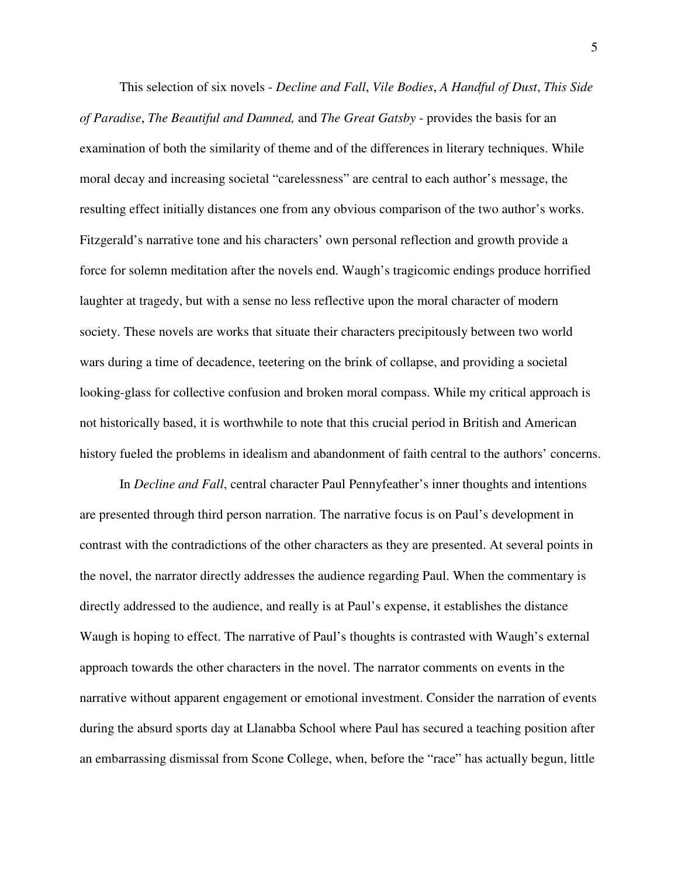This selection of six novels - *Decline and Fall*, *Vile Bodies*, *A Handful of Dust*, *This Side of Paradise*, *The Beautiful and Damned,* and *The Great Gatsby* - provides the basis for an examination of both the similarity of theme and of the differences in literary techniques. While moral decay and increasing societal "carelessness" are central to each author's message, the resulting effect initially distances one from any obvious comparison of the two author's works. Fitzgerald's narrative tone and his characters' own personal reflection and growth provide a force for solemn meditation after the novels end. Waugh's tragicomic endings produce horrified laughter at tragedy, but with a sense no less reflective upon the moral character of modern society. These novels are works that situate their characters precipitously between two world wars during a time of decadence, teetering on the brink of collapse, and providing a societal looking-glass for collective confusion and broken moral compass. While my critical approach is not historically based, it is worthwhile to note that this crucial period in British and American history fueled the problems in idealism and abandonment of faith central to the authors' concerns.

In *Decline and Fall*, central character Paul Pennyfeather's inner thoughts and intentions are presented through third person narration. The narrative focus is on Paul's development in contrast with the contradictions of the other characters as they are presented. At several points in the novel, the narrator directly addresses the audience regarding Paul. When the commentary is directly addressed to the audience, and really is at Paul's expense, it establishes the distance Waugh is hoping to effect. The narrative of Paul's thoughts is contrasted with Waugh's external approach towards the other characters in the novel. The narrator comments on events in the narrative without apparent engagement or emotional investment. Consider the narration of events during the absurd sports day at Llanabba School where Paul has secured a teaching position after an embarrassing dismissal from Scone College, when, before the "race" has actually begun, little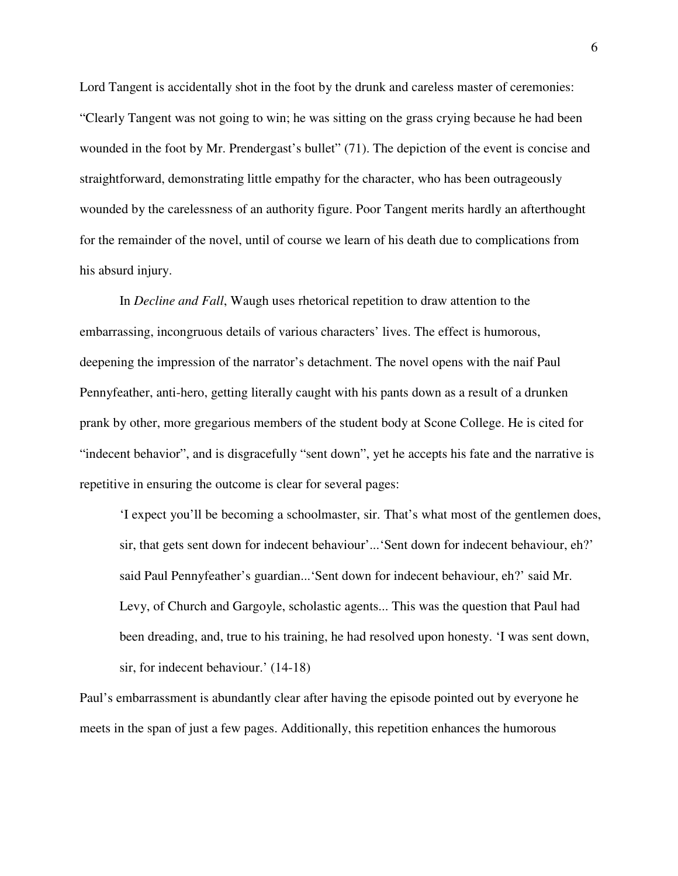Lord Tangent is accidentally shot in the foot by the drunk and careless master of ceremonies: "Clearly Tangent was not going to win; he was sitting on the grass crying because he had been wounded in the foot by Mr. Prendergast's bullet" (71). The depiction of the event is concise and straightforward, demonstrating little empathy for the character, who has been outrageously wounded by the carelessness of an authority figure. Poor Tangent merits hardly an afterthought for the remainder of the novel, until of course we learn of his death due to complications from his absurd injury.

In *Decline and Fall*, Waugh uses rhetorical repetition to draw attention to the embarrassing, incongruous details of various characters' lives. The effect is humorous, deepening the impression of the narrator's detachment. The novel opens with the naif Paul Pennyfeather, anti-hero, getting literally caught with his pants down as a result of a drunken prank by other, more gregarious members of the student body at Scone College. He is cited for "indecent behavior", and is disgracefully "sent down", yet he accepts his fate and the narrative is repetitive in ensuring the outcome is clear for several pages:

'I expect you'll be becoming a schoolmaster, sir. That's what most of the gentlemen does, sir, that gets sent down for indecent behaviour'...'Sent down for indecent behaviour, eh?' said Paul Pennyfeather's guardian...'Sent down for indecent behaviour, eh?' said Mr. Levy, of Church and Gargoyle, scholastic agents... This was the question that Paul had been dreading, and, true to his training, he had resolved upon honesty. 'I was sent down, sir, for indecent behaviour.' (14-18)

Paul's embarrassment is abundantly clear after having the episode pointed out by everyone he meets in the span of just a few pages. Additionally, this repetition enhances the humorous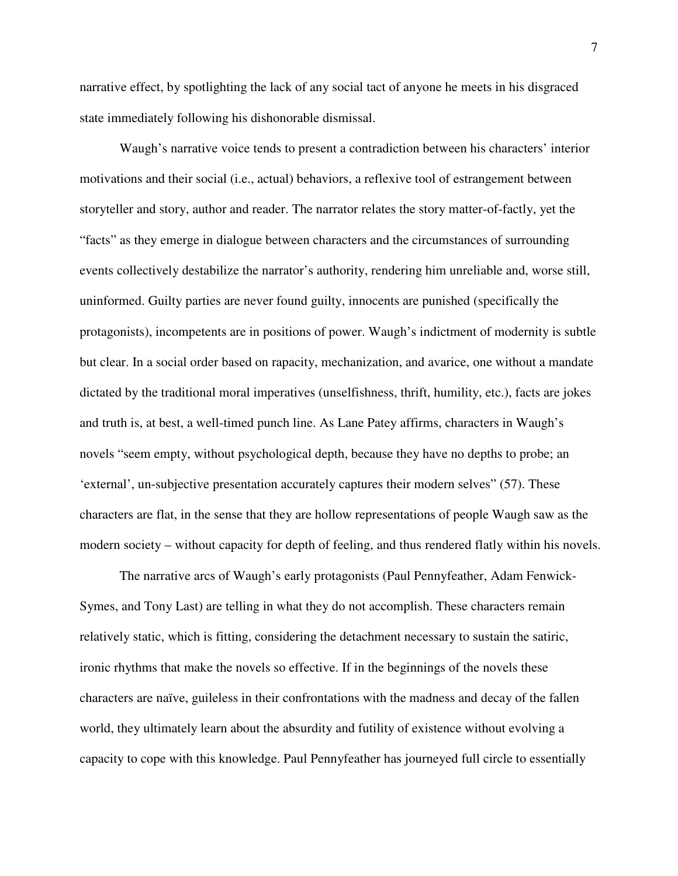narrative effect, by spotlighting the lack of any social tact of anyone he meets in his disgraced state immediately following his dishonorable dismissal.

Waugh's narrative voice tends to present a contradiction between his characters' interior motivations and their social (i.e., actual) behaviors, a reflexive tool of estrangement between storyteller and story, author and reader. The narrator relates the story matter-of-factly, yet the "facts" as they emerge in dialogue between characters and the circumstances of surrounding events collectively destabilize the narrator's authority, rendering him unreliable and, worse still, uninformed. Guilty parties are never found guilty, innocents are punished (specifically the protagonists), incompetents are in positions of power. Waugh's indictment of modernity is subtle but clear. In a social order based on rapacity, mechanization, and avarice, one without a mandate dictated by the traditional moral imperatives (unselfishness, thrift, humility, etc.), facts are jokes and truth is, at best, a well-timed punch line. As Lane Patey affirms, characters in Waugh's novels "seem empty, without psychological depth, because they have no depths to probe; an 'external', un-subjective presentation accurately captures their modern selves" (57). These characters are flat, in the sense that they are hollow representations of people Waugh saw as the modern society – without capacity for depth of feeling, and thus rendered flatly within his novels.

The narrative arcs of Waugh's early protagonists (Paul Pennyfeather, Adam Fenwick-Symes, and Tony Last) are telling in what they do not accomplish. These characters remain relatively static, which is fitting, considering the detachment necessary to sustain the satiric, ironic rhythms that make the novels so effective. If in the beginnings of the novels these characters are naïve, guileless in their confrontations with the madness and decay of the fallen world, they ultimately learn about the absurdity and futility of existence without evolving a capacity to cope with this knowledge. Paul Pennyfeather has journeyed full circle to essentially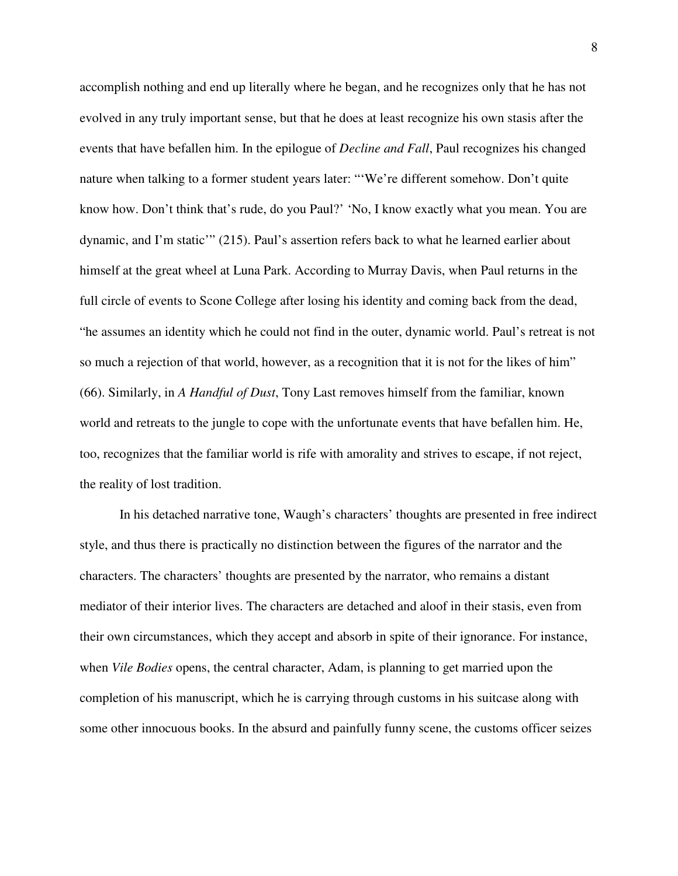accomplish nothing and end up literally where he began, and he recognizes only that he has not evolved in any truly important sense, but that he does at least recognize his own stasis after the events that have befallen him. In the epilogue of *Decline and Fall*, Paul recognizes his changed nature when talking to a former student years later: "'We're different somehow. Don't quite know how. Don't think that's rude, do you Paul?' 'No, I know exactly what you mean. You are dynamic, and I'm static'" (215). Paul's assertion refers back to what he learned earlier about himself at the great wheel at Luna Park. According to Murray Davis, when Paul returns in the full circle of events to Scone College after losing his identity and coming back from the dead, "he assumes an identity which he could not find in the outer, dynamic world. Paul's retreat is not so much a rejection of that world, however, as a recognition that it is not for the likes of him" (66). Similarly, in *A Handful of Dust*, Tony Last removes himself from the familiar, known world and retreats to the jungle to cope with the unfortunate events that have befallen him. He, too, recognizes that the familiar world is rife with amorality and strives to escape, if not reject, the reality of lost tradition.

In his detached narrative tone, Waugh's characters' thoughts are presented in free indirect style, and thus there is practically no distinction between the figures of the narrator and the characters. The characters' thoughts are presented by the narrator, who remains a distant mediator of their interior lives. The characters are detached and aloof in their stasis, even from their own circumstances, which they accept and absorb in spite of their ignorance. For instance, when *Vile Bodies* opens, the central character, Adam, is planning to get married upon the completion of his manuscript, which he is carrying through customs in his suitcase along with some other innocuous books. In the absurd and painfully funny scene, the customs officer seizes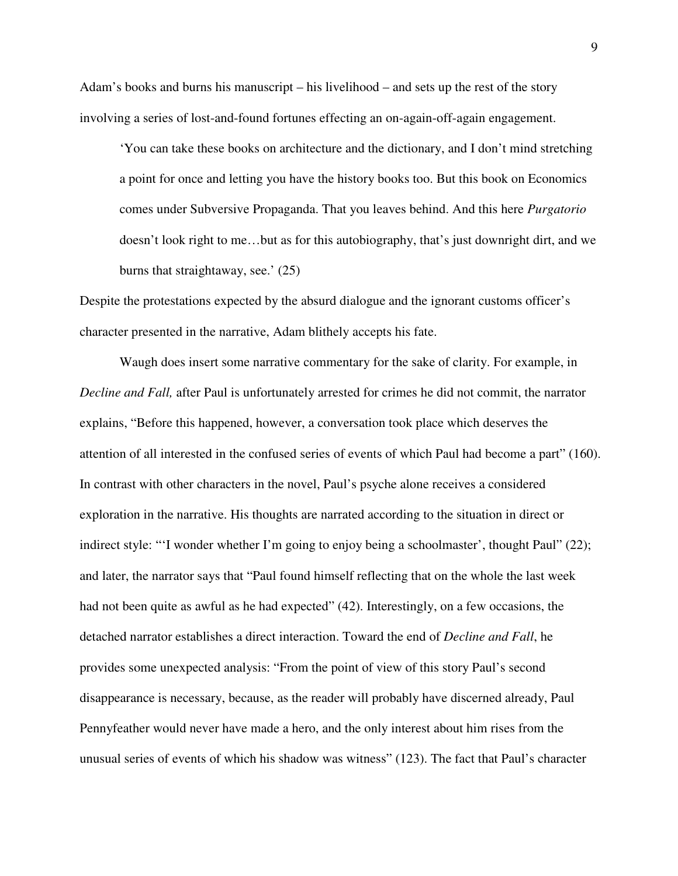Adam's books and burns his manuscript – his livelihood – and sets up the rest of the story involving a series of lost-and-found fortunes effecting an on-again-off-again engagement.

'You can take these books on architecture and the dictionary, and I don't mind stretching a point for once and letting you have the history books too. But this book on Economics comes under Subversive Propaganda. That you leaves behind. And this here *Purgatorio* doesn't look right to me…but as for this autobiography, that's just downright dirt, and we burns that straightaway, see.' (25)

Despite the protestations expected by the absurd dialogue and the ignorant customs officer's character presented in the narrative, Adam blithely accepts his fate.

Waugh does insert some narrative commentary for the sake of clarity. For example, in *Decline and Fall,* after Paul is unfortunately arrested for crimes he did not commit, the narrator explains, "Before this happened, however, a conversation took place which deserves the attention of all interested in the confused series of events of which Paul had become a part" (160). In contrast with other characters in the novel, Paul's psyche alone receives a considered exploration in the narrative. His thoughts are narrated according to the situation in direct or indirect style: "'I wonder whether I'm going to enjoy being a schoolmaster', thought Paul'' (22); and later, the narrator says that "Paul found himself reflecting that on the whole the last week had not been quite as awful as he had expected" (42). Interestingly, on a few occasions, the detached narrator establishes a direct interaction. Toward the end of *Decline and Fall*, he provides some unexpected analysis: "From the point of view of this story Paul's second disappearance is necessary, because, as the reader will probably have discerned already, Paul Pennyfeather would never have made a hero, and the only interest about him rises from the unusual series of events of which his shadow was witness" (123). The fact that Paul's character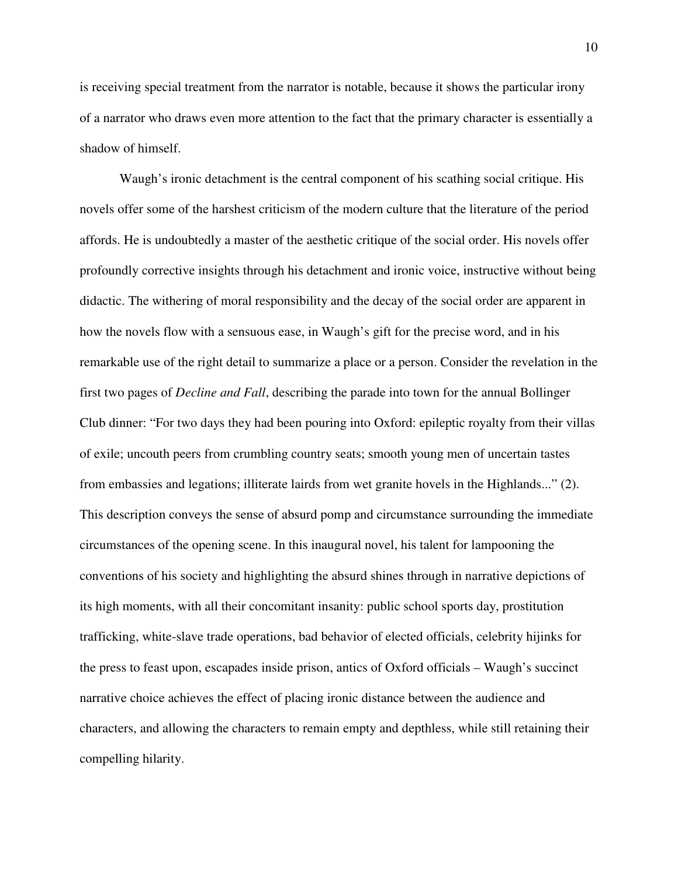is receiving special treatment from the narrator is notable, because it shows the particular irony of a narrator who draws even more attention to the fact that the primary character is essentially a shadow of himself.

Waugh's ironic detachment is the central component of his scathing social critique. His novels offer some of the harshest criticism of the modern culture that the literature of the period affords. He is undoubtedly a master of the aesthetic critique of the social order. His novels offer profoundly corrective insights through his detachment and ironic voice, instructive without being didactic. The withering of moral responsibility and the decay of the social order are apparent in how the novels flow with a sensuous ease, in Waugh's gift for the precise word, and in his remarkable use of the right detail to summarize a place or a person. Consider the revelation in the first two pages of *Decline and Fall*, describing the parade into town for the annual Bollinger Club dinner: "For two days they had been pouring into Oxford: epileptic royalty from their villas of exile; uncouth peers from crumbling country seats; smooth young men of uncertain tastes from embassies and legations; illiterate lairds from wet granite hovels in the Highlands..." (2). This description conveys the sense of absurd pomp and circumstance surrounding the immediate circumstances of the opening scene. In this inaugural novel, his talent for lampooning the conventions of his society and highlighting the absurd shines through in narrative depictions of its high moments, with all their concomitant insanity: public school sports day, prostitution trafficking, white-slave trade operations, bad behavior of elected officials, celebrity hijinks for the press to feast upon, escapades inside prison, antics of Oxford officials – Waugh's succinct narrative choice achieves the effect of placing ironic distance between the audience and characters, and allowing the characters to remain empty and depthless, while still retaining their compelling hilarity.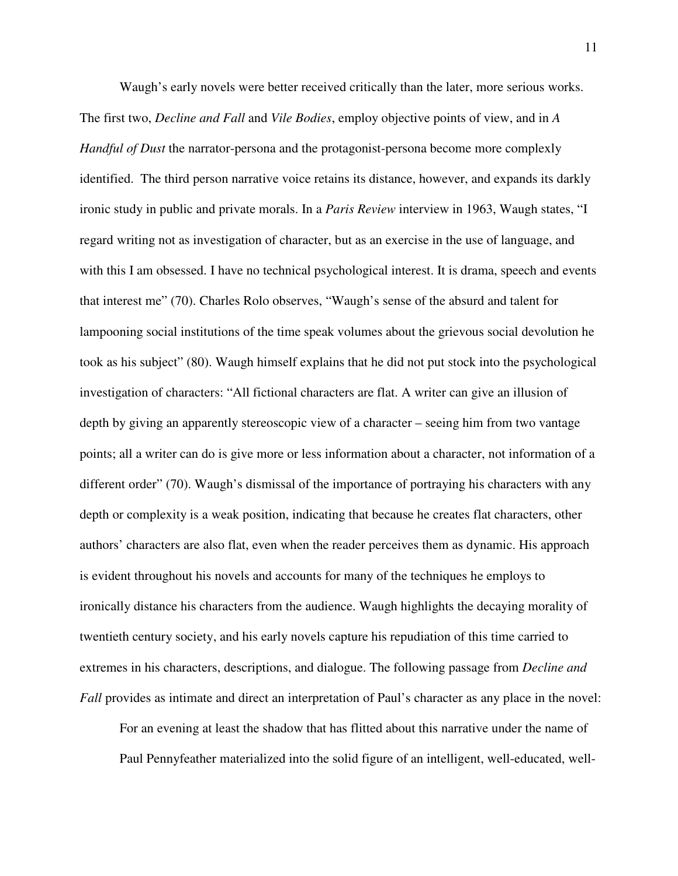Waugh's early novels were better received critically than the later, more serious works. The first two, *Decline and Fall* and *Vile Bodies*, employ objective points of view, and in *A Handful of Dust* the narrator-persona and the protagonist-persona become more complexly identified. The third person narrative voice retains its distance, however, and expands its darkly ironic study in public and private morals. In a *Paris Review* interview in 1963, Waugh states, "I regard writing not as investigation of character, but as an exercise in the use of language, and with this I am obsessed. I have no technical psychological interest. It is drama, speech and events that interest me" (70). Charles Rolo observes, "Waugh's sense of the absurd and talent for lampooning social institutions of the time speak volumes about the grievous social devolution he took as his subject" (80). Waugh himself explains that he did not put stock into the psychological investigation of characters: "All fictional characters are flat. A writer can give an illusion of depth by giving an apparently stereoscopic view of a character – seeing him from two vantage points; all a writer can do is give more or less information about a character, not information of a different order" (70). Waugh's dismissal of the importance of portraying his characters with any depth or complexity is a weak position, indicating that because he creates flat characters, other authors' characters are also flat, even when the reader perceives them as dynamic. His approach is evident throughout his novels and accounts for many of the techniques he employs to ironically distance his characters from the audience. Waugh highlights the decaying morality of twentieth century society, and his early novels capture his repudiation of this time carried to extremes in his characters, descriptions, and dialogue. The following passage from *Decline and Fall* provides as intimate and direct an interpretation of Paul's character as any place in the novel:

For an evening at least the shadow that has flitted about this narrative under the name of Paul Pennyfeather materialized into the solid figure of an intelligent, well-educated, well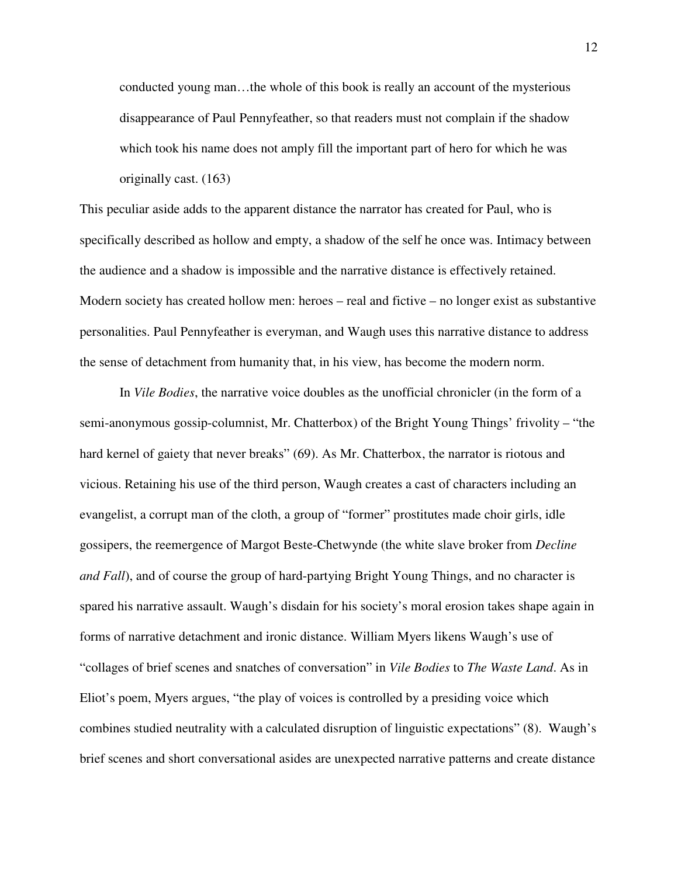conducted young man…the whole of this book is really an account of the mysterious disappearance of Paul Pennyfeather, so that readers must not complain if the shadow which took his name does not amply fill the important part of hero for which he was originally cast. (163)

This peculiar aside adds to the apparent distance the narrator has created for Paul, who is specifically described as hollow and empty, a shadow of the self he once was. Intimacy between the audience and a shadow is impossible and the narrative distance is effectively retained. Modern society has created hollow men: heroes – real and fictive – no longer exist as substantive personalities. Paul Pennyfeather is everyman, and Waugh uses this narrative distance to address the sense of detachment from humanity that, in his view, has become the modern norm.

In *Vile Bodies*, the narrative voice doubles as the unofficial chronicler (in the form of a semi-anonymous gossip-columnist, Mr. Chatterbox) of the Bright Young Things' frivolity – "the hard kernel of gaiety that never breaks" (69). As Mr. Chatterbox, the narrator is riotous and vicious. Retaining his use of the third person, Waugh creates a cast of characters including an evangelist, a corrupt man of the cloth, a group of "former" prostitutes made choir girls, idle gossipers, the reemergence of Margot Beste-Chetwynde (the white slave broker from *Decline and Fall*), and of course the group of hard-partying Bright Young Things, and no character is spared his narrative assault. Waugh's disdain for his society's moral erosion takes shape again in forms of narrative detachment and ironic distance. William Myers likens Waugh's use of "collages of brief scenes and snatches of conversation" in *Vile Bodies* to *The Waste Land*. As in Eliot's poem, Myers argues, "the play of voices is controlled by a presiding voice which combines studied neutrality with a calculated disruption of linguistic expectations" (8). Waugh's brief scenes and short conversational asides are unexpected narrative patterns and create distance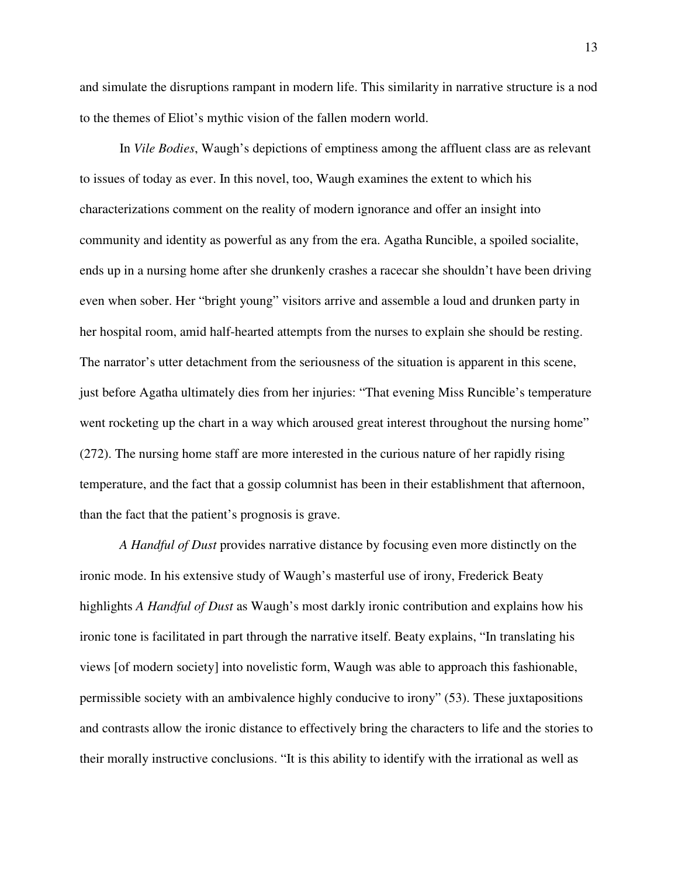and simulate the disruptions rampant in modern life. This similarity in narrative structure is a nod to the themes of Eliot's mythic vision of the fallen modern world.

In *Vile Bodies*, Waugh's depictions of emptiness among the affluent class are as relevant to issues of today as ever. In this novel, too, Waugh examines the extent to which his characterizations comment on the reality of modern ignorance and offer an insight into community and identity as powerful as any from the era. Agatha Runcible, a spoiled socialite, ends up in a nursing home after she drunkenly crashes a racecar she shouldn't have been driving even when sober. Her "bright young" visitors arrive and assemble a loud and drunken party in her hospital room, amid half-hearted attempts from the nurses to explain she should be resting. The narrator's utter detachment from the seriousness of the situation is apparent in this scene, just before Agatha ultimately dies from her injuries: "That evening Miss Runcible's temperature went rocketing up the chart in a way which aroused great interest throughout the nursing home" (272). The nursing home staff are more interested in the curious nature of her rapidly rising temperature, and the fact that a gossip columnist has been in their establishment that afternoon, than the fact that the patient's prognosis is grave.

*A Handful of Dust* provides narrative distance by focusing even more distinctly on the ironic mode. In his extensive study of Waugh's masterful use of irony, Frederick Beaty highlights *A Handful of Dust* as Waugh's most darkly ironic contribution and explains how his ironic tone is facilitated in part through the narrative itself. Beaty explains, "In translating his views [of modern society] into novelistic form, Waugh was able to approach this fashionable, permissible society with an ambivalence highly conducive to irony" (53). These juxtapositions and contrasts allow the ironic distance to effectively bring the characters to life and the stories to their morally instructive conclusions. "It is this ability to identify with the irrational as well as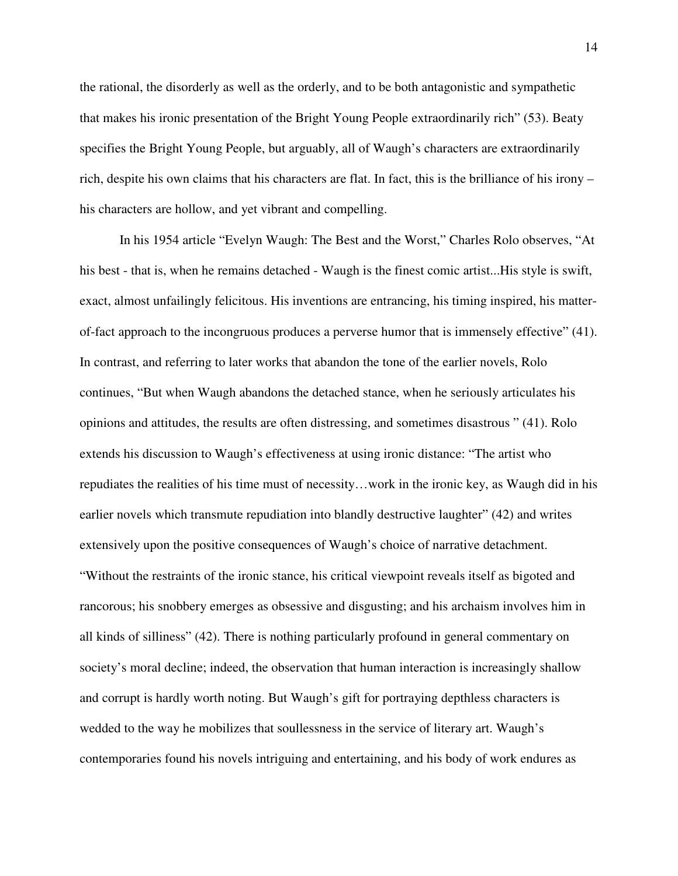the rational, the disorderly as well as the orderly, and to be both antagonistic and sympathetic that makes his ironic presentation of the Bright Young People extraordinarily rich" (53). Beaty specifies the Bright Young People, but arguably, all of Waugh's characters are extraordinarily rich, despite his own claims that his characters are flat. In fact, this is the brilliance of his irony – his characters are hollow, and yet vibrant and compelling.

In his 1954 article "Evelyn Waugh: The Best and the Worst," Charles Rolo observes, "At his best - that is, when he remains detached - Waugh is the finest comic artist...His style is swift, exact, almost unfailingly felicitous. His inventions are entrancing, his timing inspired, his matterof-fact approach to the incongruous produces a perverse humor that is immensely effective" (41). In contrast, and referring to later works that abandon the tone of the earlier novels, Rolo continues, "But when Waugh abandons the detached stance, when he seriously articulates his opinions and attitudes, the results are often distressing, and sometimes disastrous " (41). Rolo extends his discussion to Waugh's effectiveness at using ironic distance: "The artist who repudiates the realities of his time must of necessity…work in the ironic key, as Waugh did in his earlier novels which transmute repudiation into blandly destructive laughter" (42) and writes extensively upon the positive consequences of Waugh's choice of narrative detachment. "Without the restraints of the ironic stance, his critical viewpoint reveals itself as bigoted and rancorous; his snobbery emerges as obsessive and disgusting; and his archaism involves him in all kinds of silliness" (42). There is nothing particularly profound in general commentary on society's moral decline; indeed, the observation that human interaction is increasingly shallow and corrupt is hardly worth noting. But Waugh's gift for portraying depthless characters is wedded to the way he mobilizes that soullessness in the service of literary art. Waugh's contemporaries found his novels intriguing and entertaining, and his body of work endures as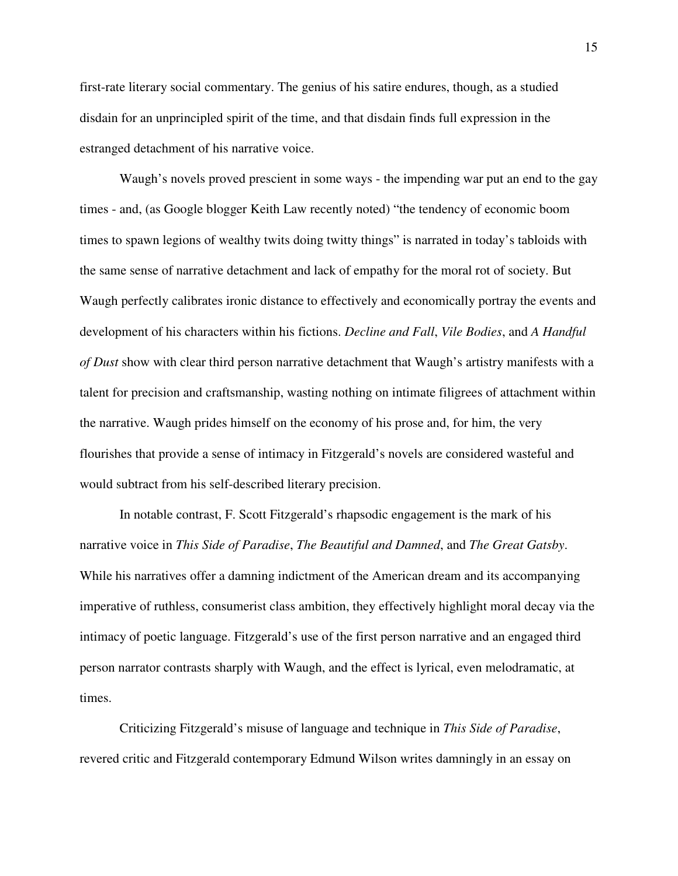first-rate literary social commentary. The genius of his satire endures, though, as a studied disdain for an unprincipled spirit of the time, and that disdain finds full expression in the estranged detachment of his narrative voice.

Waugh's novels proved prescient in some ways - the impending war put an end to the gay times - and, (as Google blogger Keith Law recently noted) "the tendency of economic boom times to spawn legions of wealthy twits doing twitty things" is narrated in today's tabloids with the same sense of narrative detachment and lack of empathy for the moral rot of society. But Waugh perfectly calibrates ironic distance to effectively and economically portray the events and development of his characters within his fictions. *Decline and Fall*, *Vile Bodies*, and *A Handful of Dust* show with clear third person narrative detachment that Waugh's artistry manifests with a talent for precision and craftsmanship, wasting nothing on intimate filigrees of attachment within the narrative. Waugh prides himself on the economy of his prose and, for him, the very flourishes that provide a sense of intimacy in Fitzgerald's novels are considered wasteful and would subtract from his self-described literary precision.

In notable contrast, F. Scott Fitzgerald's rhapsodic engagement is the mark of his narrative voice in *This Side of Paradise*, *The Beautiful and Damned*, and *The Great Gatsby*. While his narratives offer a damning indictment of the American dream and its accompanying imperative of ruthless, consumerist class ambition, they effectively highlight moral decay via the intimacy of poetic language. Fitzgerald's use of the first person narrative and an engaged third person narrator contrasts sharply with Waugh, and the effect is lyrical, even melodramatic, at times.

Criticizing Fitzgerald's misuse of language and technique in *This Side of Paradise*, revered critic and Fitzgerald contemporary Edmund Wilson writes damningly in an essay on

15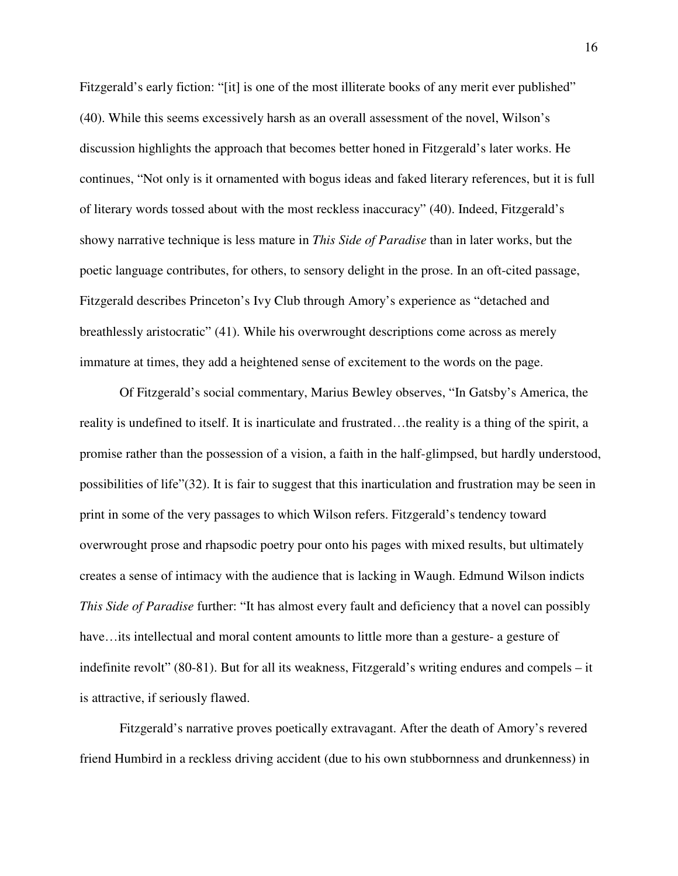Fitzgerald's early fiction: "[it] is one of the most illiterate books of any merit ever published" (40). While this seems excessively harsh as an overall assessment of the novel, Wilson's discussion highlights the approach that becomes better honed in Fitzgerald's later works. He continues, "Not only is it ornamented with bogus ideas and faked literary references, but it is full of literary words tossed about with the most reckless inaccuracy" (40). Indeed, Fitzgerald's showy narrative technique is less mature in *This Side of Paradise* than in later works, but the poetic language contributes, for others, to sensory delight in the prose. In an oft-cited passage, Fitzgerald describes Princeton's Ivy Club through Amory's experience as "detached and breathlessly aristocratic" (41). While his overwrought descriptions come across as merely immature at times, they add a heightened sense of excitement to the words on the page.

Of Fitzgerald's social commentary, Marius Bewley observes, "In Gatsby's America, the reality is undefined to itself. It is inarticulate and frustrated…the reality is a thing of the spirit, a promise rather than the possession of a vision, a faith in the half-glimpsed, but hardly understood, possibilities of life"(32). It is fair to suggest that this inarticulation and frustration may be seen in print in some of the very passages to which Wilson refers. Fitzgerald's tendency toward overwrought prose and rhapsodic poetry pour onto his pages with mixed results, but ultimately creates a sense of intimacy with the audience that is lacking in Waugh. Edmund Wilson indicts *This Side of Paradise* further: "It has almost every fault and deficiency that a novel can possibly have…its intellectual and moral content amounts to little more than a gesture- a gesture of indefinite revolt" (80-81). But for all its weakness, Fitzgerald's writing endures and compels – it is attractive, if seriously flawed.

Fitzgerald's narrative proves poetically extravagant. After the death of Amory's revered friend Humbird in a reckless driving accident (due to his own stubbornness and drunkenness) in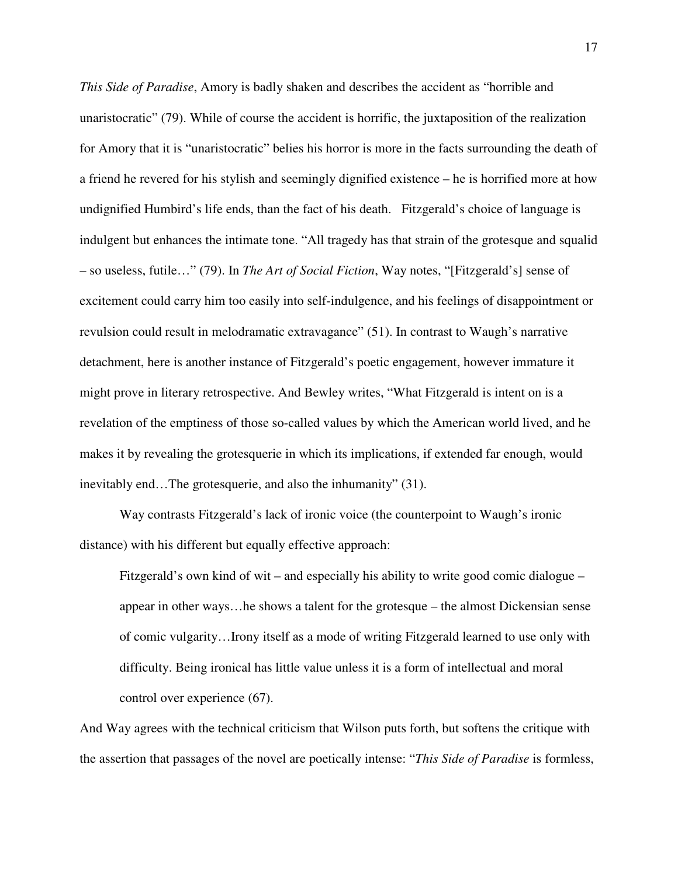*This Side of Paradise*, Amory is badly shaken and describes the accident as "horrible and unaristocratic" (79). While of course the accident is horrific, the juxtaposition of the realization for Amory that it is "unaristocratic" belies his horror is more in the facts surrounding the death of a friend he revered for his stylish and seemingly dignified existence – he is horrified more at how undignified Humbird's life ends, than the fact of his death. Fitzgerald's choice of language is indulgent but enhances the intimate tone. "All tragedy has that strain of the grotesque and squalid – so useless, futile…" (79). In *The Art of Social Fiction*, Way notes, "[Fitzgerald's] sense of excitement could carry him too easily into self-indulgence, and his feelings of disappointment or revulsion could result in melodramatic extravagance" (51). In contrast to Waugh's narrative detachment, here is another instance of Fitzgerald's poetic engagement, however immature it might prove in literary retrospective. And Bewley writes, "What Fitzgerald is intent on is a revelation of the emptiness of those so-called values by which the American world lived, and he makes it by revealing the grotesquerie in which its implications, if extended far enough, would inevitably end…The grotesquerie, and also the inhumanity" (31).

 Way contrasts Fitzgerald's lack of ironic voice (the counterpoint to Waugh's ironic distance) with his different but equally effective approach:

Fitzgerald's own kind of wit – and especially his ability to write good comic dialogue – appear in other ways…he shows a talent for the grotesque – the almost Dickensian sense of comic vulgarity…Irony itself as a mode of writing Fitzgerald learned to use only with difficulty. Being ironical has little value unless it is a form of intellectual and moral control over experience (67).

And Way agrees with the technical criticism that Wilson puts forth, but softens the critique with the assertion that passages of the novel are poetically intense: "*This Side of Paradise* is formless,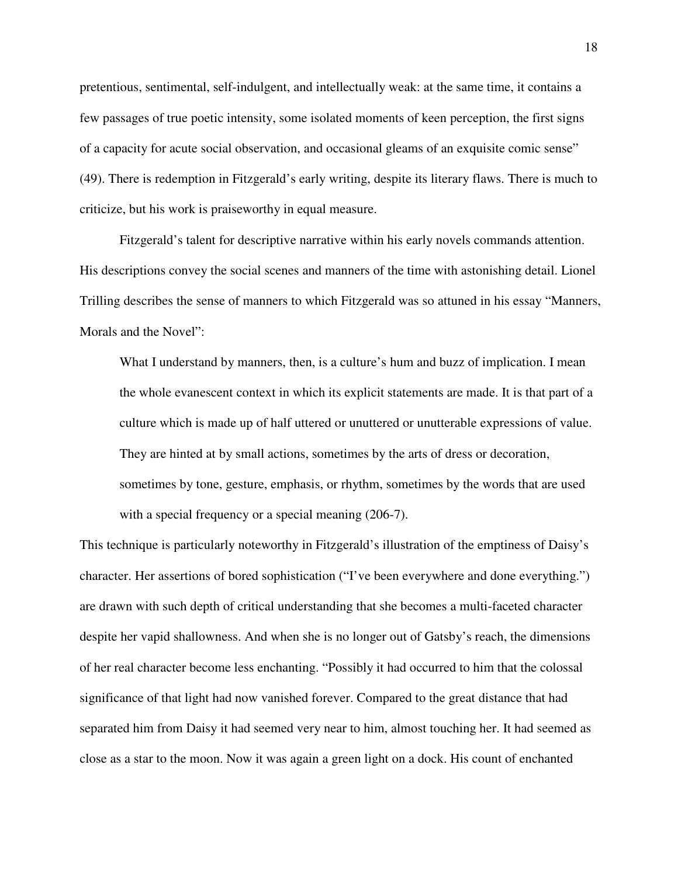pretentious, sentimental, self-indulgent, and intellectually weak: at the same time, it contains a few passages of true poetic intensity, some isolated moments of keen perception, the first signs of a capacity for acute social observation, and occasional gleams of an exquisite comic sense" (49). There is redemption in Fitzgerald's early writing, despite its literary flaws. There is much to criticize, but his work is praiseworthy in equal measure.

 Fitzgerald's talent for descriptive narrative within his early novels commands attention. His descriptions convey the social scenes and manners of the time with astonishing detail. Lionel Trilling describes the sense of manners to which Fitzgerald was so attuned in his essay "Manners, Morals and the Novel":

What I understand by manners, then, is a culture's hum and buzz of implication. I mean the whole evanescent context in which its explicit statements are made. It is that part of a culture which is made up of half uttered or unuttered or unutterable expressions of value. They are hinted at by small actions, sometimes by the arts of dress or decoration, sometimes by tone, gesture, emphasis, or rhythm, sometimes by the words that are used with a special frequency or a special meaning  $(206-7)$ .

This technique is particularly noteworthy in Fitzgerald's illustration of the emptiness of Daisy's character. Her assertions of bored sophistication ("I've been everywhere and done everything.") are drawn with such depth of critical understanding that she becomes a multi-faceted character despite her vapid shallowness. And when she is no longer out of Gatsby's reach, the dimensions of her real character become less enchanting. "Possibly it had occurred to him that the colossal significance of that light had now vanished forever. Compared to the great distance that had separated him from Daisy it had seemed very near to him, almost touching her. It had seemed as close as a star to the moon. Now it was again a green light on a dock. His count of enchanted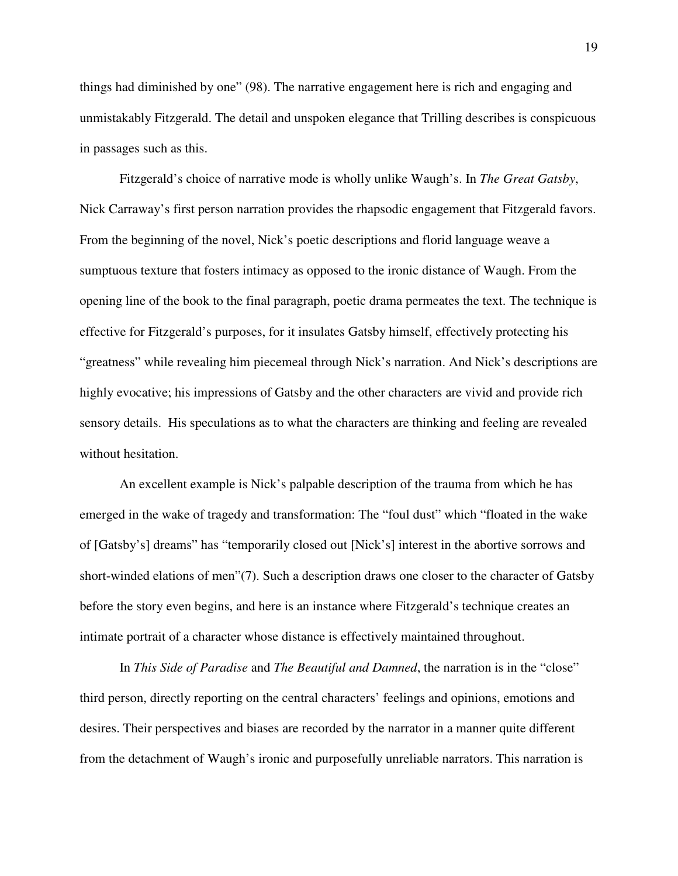things had diminished by one" (98). The narrative engagement here is rich and engaging and unmistakably Fitzgerald. The detail and unspoken elegance that Trilling describes is conspicuous in passages such as this.

 Fitzgerald's choice of narrative mode is wholly unlike Waugh's. In *The Great Gatsby*, Nick Carraway's first person narration provides the rhapsodic engagement that Fitzgerald favors. From the beginning of the novel, Nick's poetic descriptions and florid language weave a sumptuous texture that fosters intimacy as opposed to the ironic distance of Waugh. From the opening line of the book to the final paragraph, poetic drama permeates the text. The technique is effective for Fitzgerald's purposes, for it insulates Gatsby himself, effectively protecting his "greatness" while revealing him piecemeal through Nick's narration. And Nick's descriptions are highly evocative; his impressions of Gatsby and the other characters are vivid and provide rich sensory details. His speculations as to what the characters are thinking and feeling are revealed without hesitation.

An excellent example is Nick's palpable description of the trauma from which he has emerged in the wake of tragedy and transformation: The "foul dust" which "floated in the wake of [Gatsby's] dreams" has "temporarily closed out [Nick's] interest in the abortive sorrows and short-winded elations of men"(7). Such a description draws one closer to the character of Gatsby before the story even begins, and here is an instance where Fitzgerald's technique creates an intimate portrait of a character whose distance is effectively maintained throughout.

In *This Side of Paradise* and *The Beautiful and Damned*, the narration is in the "close" third person, directly reporting on the central characters' feelings and opinions, emotions and desires. Their perspectives and biases are recorded by the narrator in a manner quite different from the detachment of Waugh's ironic and purposefully unreliable narrators. This narration is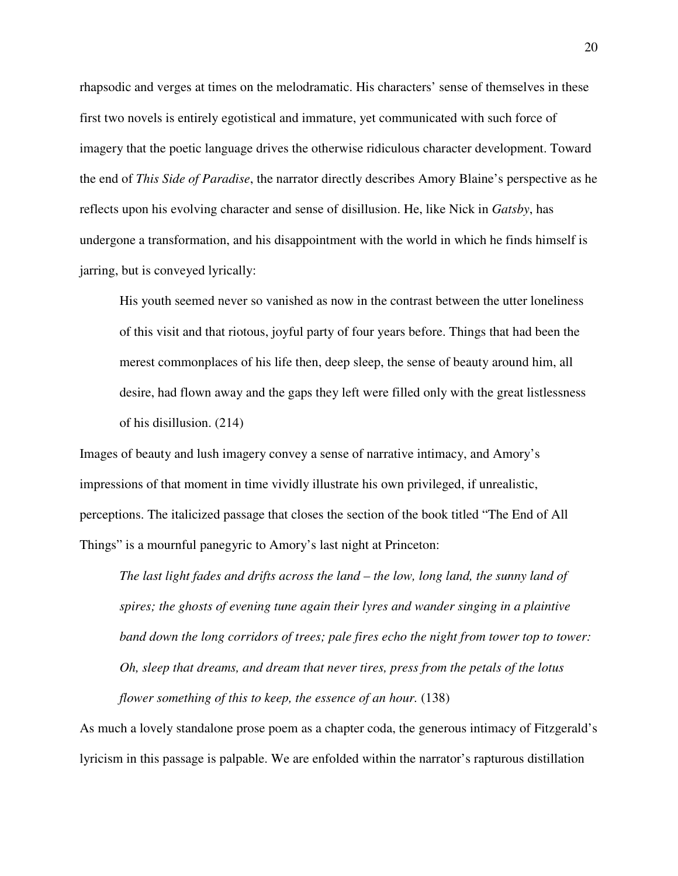rhapsodic and verges at times on the melodramatic. His characters' sense of themselves in these first two novels is entirely egotistical and immature, yet communicated with such force of imagery that the poetic language drives the otherwise ridiculous character development. Toward the end of *This Side of Paradise*, the narrator directly describes Amory Blaine's perspective as he reflects upon his evolving character and sense of disillusion. He, like Nick in *Gatsby*, has undergone a transformation, and his disappointment with the world in which he finds himself is jarring, but is conveyed lyrically:

His youth seemed never so vanished as now in the contrast between the utter loneliness of this visit and that riotous, joyful party of four years before. Things that had been the merest commonplaces of his life then, deep sleep, the sense of beauty around him, all desire, had flown away and the gaps they left were filled only with the great listlessness of his disillusion. (214)

Images of beauty and lush imagery convey a sense of narrative intimacy, and Amory's impressions of that moment in time vividly illustrate his own privileged, if unrealistic, perceptions. The italicized passage that closes the section of the book titled "The End of All Things" is a mournful panegyric to Amory's last night at Princeton:

*The last light fades and drifts across the land – the low, long land, the sunny land of spires; the ghosts of evening tune again their lyres and wander singing in a plaintive band down the long corridors of trees; pale fires echo the night from tower top to tower: Oh, sleep that dreams, and dream that never tires, press from the petals of the lotus flower something of this to keep, the essence of an hour.* (138)

As much a lovely standalone prose poem as a chapter coda, the generous intimacy of Fitzgerald's lyricism in this passage is palpable. We are enfolded within the narrator's rapturous distillation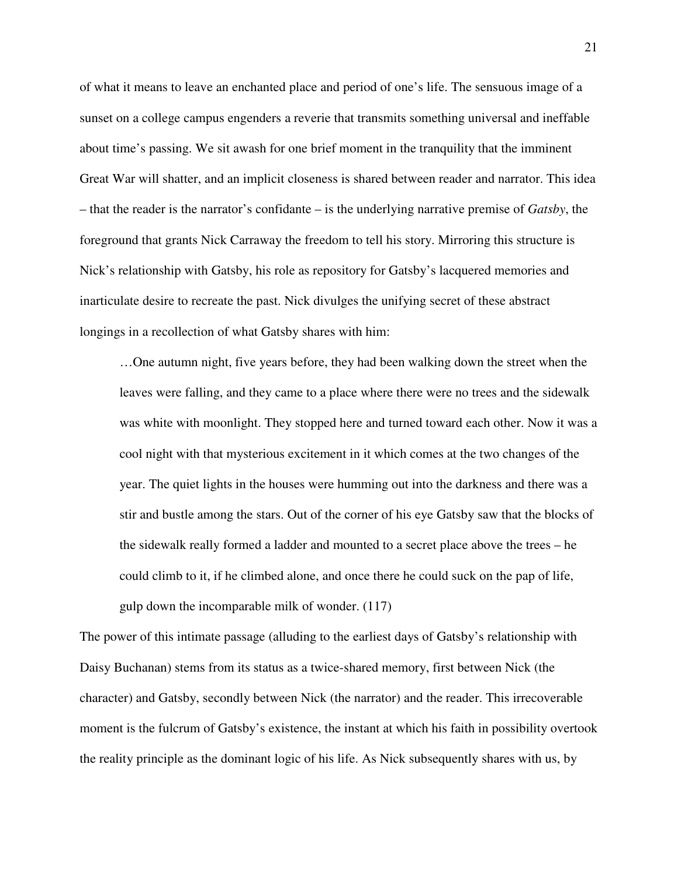of what it means to leave an enchanted place and period of one's life. The sensuous image of a sunset on a college campus engenders a reverie that transmits something universal and ineffable about time's passing. We sit awash for one brief moment in the tranquility that the imminent Great War will shatter, and an implicit closeness is shared between reader and narrator. This idea – that the reader is the narrator's confidante – is the underlying narrative premise of *Gatsby*, the foreground that grants Nick Carraway the freedom to tell his story. Mirroring this structure is Nick's relationship with Gatsby, his role as repository for Gatsby's lacquered memories and inarticulate desire to recreate the past. Nick divulges the unifying secret of these abstract longings in a recollection of what Gatsby shares with him:

…One autumn night, five years before, they had been walking down the street when the leaves were falling, and they came to a place where there were no trees and the sidewalk was white with moonlight. They stopped here and turned toward each other. Now it was a cool night with that mysterious excitement in it which comes at the two changes of the year. The quiet lights in the houses were humming out into the darkness and there was a stir and bustle among the stars. Out of the corner of his eye Gatsby saw that the blocks of the sidewalk really formed a ladder and mounted to a secret place above the trees – he could climb to it, if he climbed alone, and once there he could suck on the pap of life, gulp down the incomparable milk of wonder. (117)

The power of this intimate passage (alluding to the earliest days of Gatsby's relationship with Daisy Buchanan) stems from its status as a twice-shared memory, first between Nick (the character) and Gatsby, secondly between Nick (the narrator) and the reader. This irrecoverable moment is the fulcrum of Gatsby's existence, the instant at which his faith in possibility overtook the reality principle as the dominant logic of his life. As Nick subsequently shares with us, by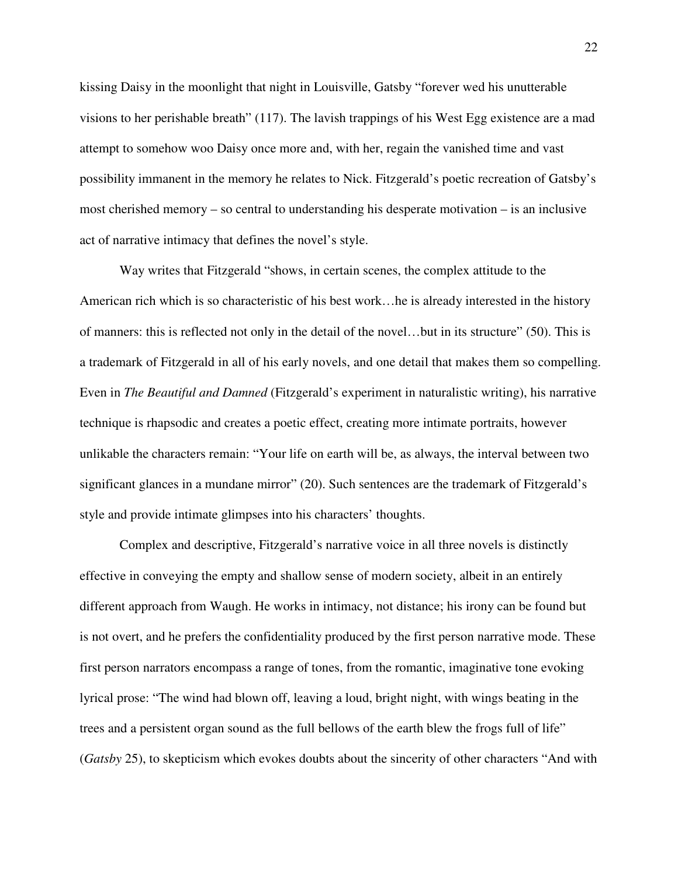kissing Daisy in the moonlight that night in Louisville, Gatsby "forever wed his unutterable visions to her perishable breath" (117). The lavish trappings of his West Egg existence are a mad attempt to somehow woo Daisy once more and, with her, regain the vanished time and vast possibility immanent in the memory he relates to Nick. Fitzgerald's poetic recreation of Gatsby's most cherished memory – so central to understanding his desperate motivation – is an inclusive act of narrative intimacy that defines the novel's style.

 Way writes that Fitzgerald "shows, in certain scenes, the complex attitude to the American rich which is so characteristic of his best work…he is already interested in the history of manners: this is reflected not only in the detail of the novel…but in its structure" (50). This is a trademark of Fitzgerald in all of his early novels, and one detail that makes them so compelling. Even in *The Beautiful and Damned* (Fitzgerald's experiment in naturalistic writing), his narrative technique is rhapsodic and creates a poetic effect, creating more intimate portraits, however unlikable the characters remain: "Your life on earth will be, as always, the interval between two significant glances in a mundane mirror" (20). Such sentences are the trademark of Fitzgerald's style and provide intimate glimpses into his characters' thoughts.

Complex and descriptive, Fitzgerald's narrative voice in all three novels is distinctly effective in conveying the empty and shallow sense of modern society, albeit in an entirely different approach from Waugh. He works in intimacy, not distance; his irony can be found but is not overt, and he prefers the confidentiality produced by the first person narrative mode. These first person narrators encompass a range of tones, from the romantic, imaginative tone evoking lyrical prose: "The wind had blown off, leaving a loud, bright night, with wings beating in the trees and a persistent organ sound as the full bellows of the earth blew the frogs full of life" (*Gatsby* 25), to skepticism which evokes doubts about the sincerity of other characters "And with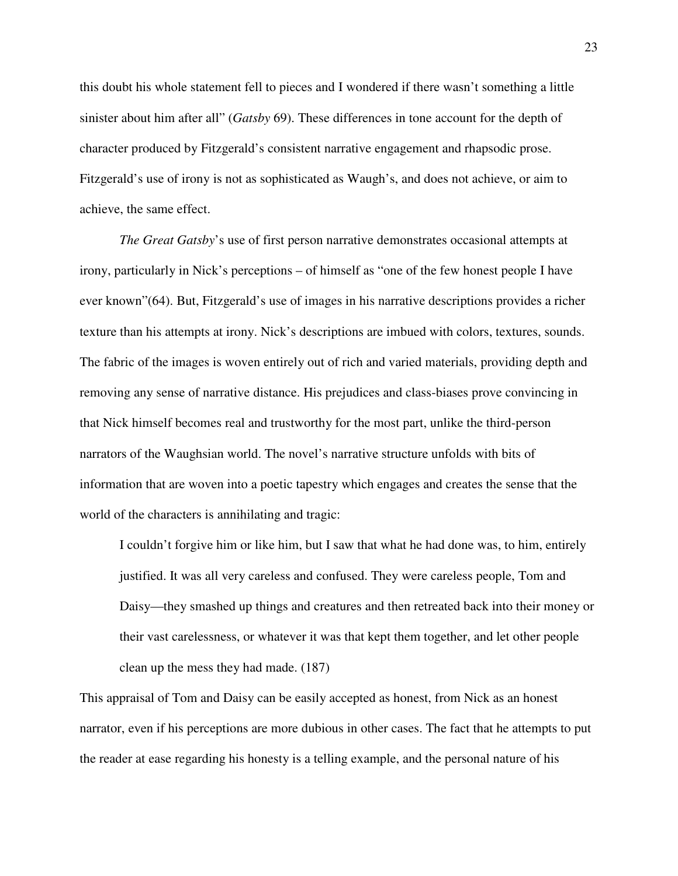this doubt his whole statement fell to pieces and I wondered if there wasn't something a little sinister about him after all" (*Gatsby* 69). These differences in tone account for the depth of character produced by Fitzgerald's consistent narrative engagement and rhapsodic prose. Fitzgerald's use of irony is not as sophisticated as Waugh's, and does not achieve, or aim to achieve, the same effect.

*The Great Gatsby*'s use of first person narrative demonstrates occasional attempts at irony, particularly in Nick's perceptions – of himself as "one of the few honest people I have ever known"(64). But, Fitzgerald's use of images in his narrative descriptions provides a richer texture than his attempts at irony. Nick's descriptions are imbued with colors, textures, sounds. The fabric of the images is woven entirely out of rich and varied materials, providing depth and removing any sense of narrative distance. His prejudices and class-biases prove convincing in that Nick himself becomes real and trustworthy for the most part, unlike the third-person narrators of the Waughsian world. The novel's narrative structure unfolds with bits of information that are woven into a poetic tapestry which engages and creates the sense that the world of the characters is annihilating and tragic:

I couldn't forgive him or like him, but I saw that what he had done was, to him, entirely justified. It was all very careless and confused. They were careless people, Tom and Daisy—they smashed up things and creatures and then retreated back into their money or their vast carelessness, or whatever it was that kept them together, and let other people clean up the mess they had made. (187)

This appraisal of Tom and Daisy can be easily accepted as honest, from Nick as an honest narrator, even if his perceptions are more dubious in other cases. The fact that he attempts to put the reader at ease regarding his honesty is a telling example, and the personal nature of his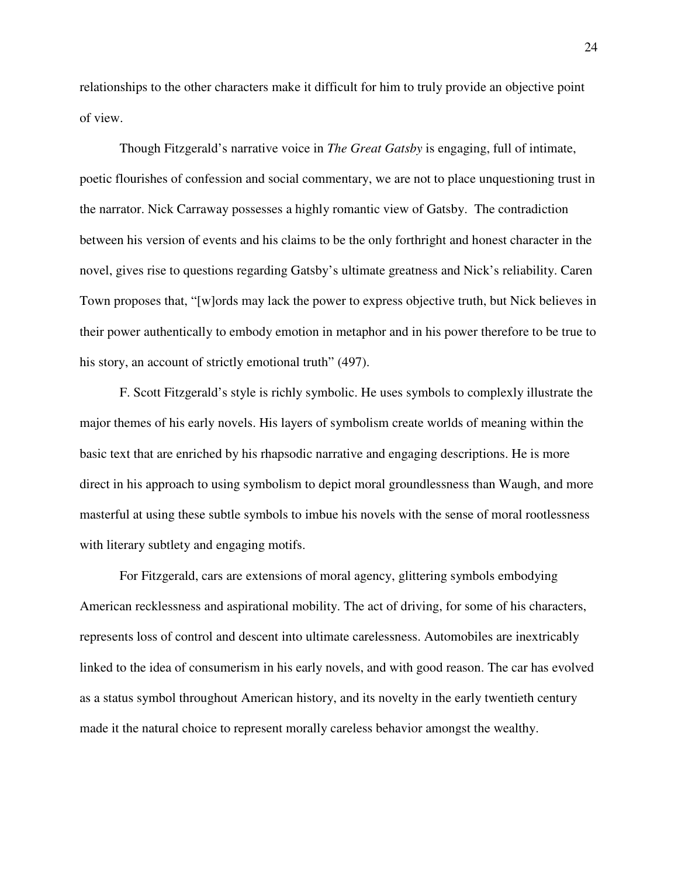relationships to the other characters make it difficult for him to truly provide an objective point of view.

Though Fitzgerald's narrative voice in *The Great Gatsby* is engaging, full of intimate, poetic flourishes of confession and social commentary, we are not to place unquestioning trust in the narrator. Nick Carraway possesses a highly romantic view of Gatsby. The contradiction between his version of events and his claims to be the only forthright and honest character in the novel, gives rise to questions regarding Gatsby's ultimate greatness and Nick's reliability. Caren Town proposes that, "[w]ords may lack the power to express objective truth, but Nick believes in their power authentically to embody emotion in metaphor and in his power therefore to be true to his story, an account of strictly emotional truth" (497).

F. Scott Fitzgerald's style is richly symbolic. He uses symbols to complexly illustrate the major themes of his early novels. His layers of symbolism create worlds of meaning within the basic text that are enriched by his rhapsodic narrative and engaging descriptions. He is more direct in his approach to using symbolism to depict moral groundlessness than Waugh, and more masterful at using these subtle symbols to imbue his novels with the sense of moral rootlessness with literary subtlety and engaging motifs.

For Fitzgerald, cars are extensions of moral agency, glittering symbols embodying American recklessness and aspirational mobility. The act of driving, for some of his characters, represents loss of control and descent into ultimate carelessness. Automobiles are inextricably linked to the idea of consumerism in his early novels, and with good reason. The car has evolved as a status symbol throughout American history, and its novelty in the early twentieth century made it the natural choice to represent morally careless behavior amongst the wealthy.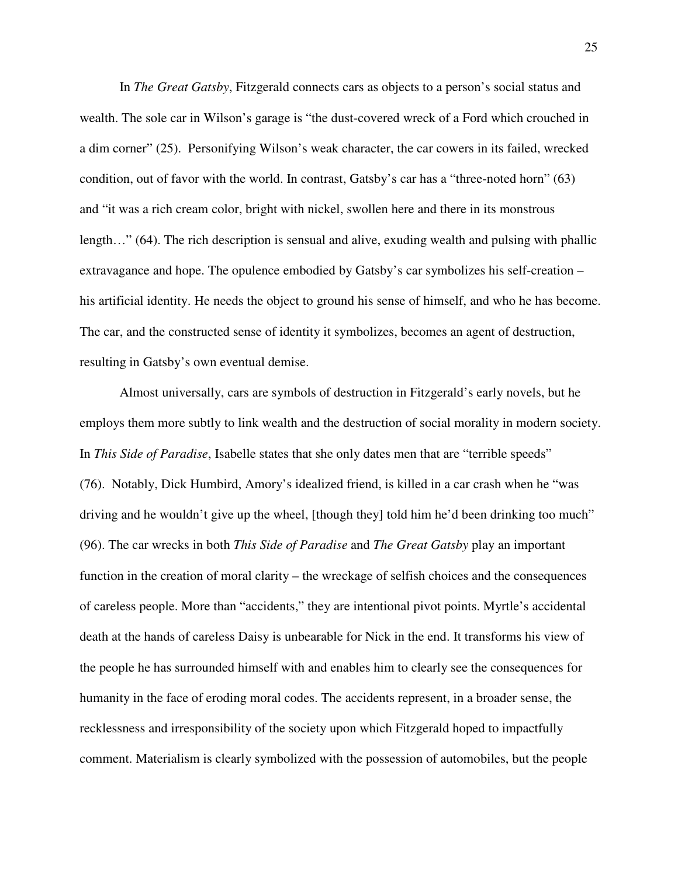In *The Great Gatsby*, Fitzgerald connects cars as objects to a person's social status and wealth. The sole car in Wilson's garage is "the dust-covered wreck of a Ford which crouched in a dim corner" (25). Personifying Wilson's weak character, the car cowers in its failed, wrecked condition, out of favor with the world. In contrast, Gatsby's car has a "three-noted horn" (63) and "it was a rich cream color, bright with nickel, swollen here and there in its monstrous length…" (64). The rich description is sensual and alive, exuding wealth and pulsing with phallic extravagance and hope. The opulence embodied by Gatsby's car symbolizes his self-creation – his artificial identity. He needs the object to ground his sense of himself, and who he has become. The car, and the constructed sense of identity it symbolizes, becomes an agent of destruction, resulting in Gatsby's own eventual demise.

Almost universally, cars are symbols of destruction in Fitzgerald's early novels, but he employs them more subtly to link wealth and the destruction of social morality in modern society. In *This Side of Paradise*, Isabelle states that she only dates men that are "terrible speeds" (76). Notably, Dick Humbird, Amory's idealized friend, is killed in a car crash when he "was driving and he wouldn't give up the wheel, [though they] told him he'd been drinking too much" (96). The car wrecks in both *This Side of Paradise* and *The Great Gatsby* play an important function in the creation of moral clarity – the wreckage of selfish choices and the consequences of careless people. More than "accidents," they are intentional pivot points. Myrtle's accidental death at the hands of careless Daisy is unbearable for Nick in the end. It transforms his view of the people he has surrounded himself with and enables him to clearly see the consequences for humanity in the face of eroding moral codes. The accidents represent, in a broader sense, the recklessness and irresponsibility of the society upon which Fitzgerald hoped to impactfully comment. Materialism is clearly symbolized with the possession of automobiles, but the people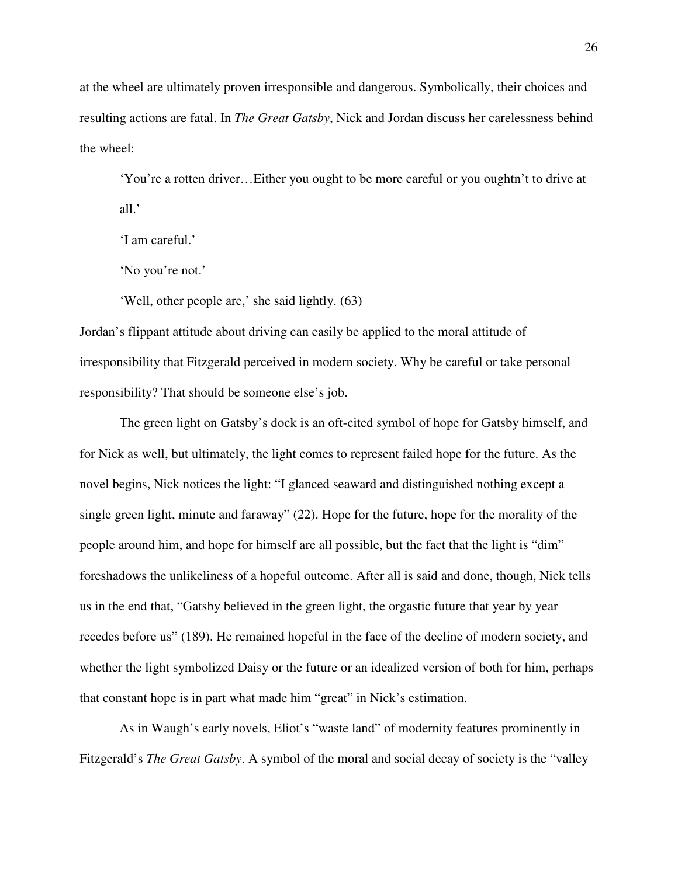at the wheel are ultimately proven irresponsible and dangerous. Symbolically, their choices and resulting actions are fatal. In *The Great Gatsby*, Nick and Jordan discuss her carelessness behind the wheel:

'You're a rotten driver…Either you ought to be more careful or you oughtn't to drive at all.'

'I am careful.'

'No you're not.'

'Well, other people are,' she said lightly. (63)

Jordan's flippant attitude about driving can easily be applied to the moral attitude of irresponsibility that Fitzgerald perceived in modern society. Why be careful or take personal responsibility? That should be someone else's job.

The green light on Gatsby's dock is an oft-cited symbol of hope for Gatsby himself, and for Nick as well, but ultimately, the light comes to represent failed hope for the future. As the novel begins, Nick notices the light: "I glanced seaward and distinguished nothing except a single green light, minute and faraway" (22). Hope for the future, hope for the morality of the people around him, and hope for himself are all possible, but the fact that the light is "dim" foreshadows the unlikeliness of a hopeful outcome. After all is said and done, though, Nick tells us in the end that, "Gatsby believed in the green light, the orgastic future that year by year recedes before us" (189). He remained hopeful in the face of the decline of modern society, and whether the light symbolized Daisy or the future or an idealized version of both for him, perhaps that constant hope is in part what made him "great" in Nick's estimation.

As in Waugh's early novels, Eliot's "waste land" of modernity features prominently in Fitzgerald's *The Great Gatsby*. A symbol of the moral and social decay of society is the "valley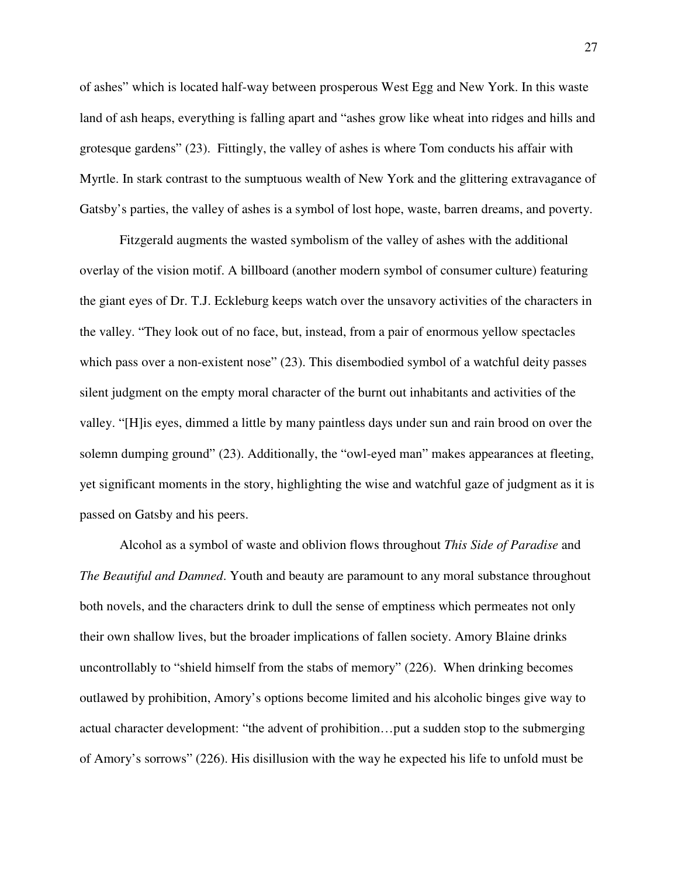of ashes" which is located half-way between prosperous West Egg and New York. In this waste land of ash heaps, everything is falling apart and "ashes grow like wheat into ridges and hills and grotesque gardens" (23). Fittingly, the valley of ashes is where Tom conducts his affair with Myrtle. In stark contrast to the sumptuous wealth of New York and the glittering extravagance of Gatsby's parties, the valley of ashes is a symbol of lost hope, waste, barren dreams, and poverty.

Fitzgerald augments the wasted symbolism of the valley of ashes with the additional overlay of the vision motif. A billboard (another modern symbol of consumer culture) featuring the giant eyes of Dr. T.J. Eckleburg keeps watch over the unsavory activities of the characters in the valley. "They look out of no face, but, instead, from a pair of enormous yellow spectacles which pass over a non-existent nose" (23). This disembodied symbol of a watchful deity passes silent judgment on the empty moral character of the burnt out inhabitants and activities of the valley. "[H]is eyes, dimmed a little by many paintless days under sun and rain brood on over the solemn dumping ground" (23). Additionally, the "owl-eyed man" makes appearances at fleeting, yet significant moments in the story, highlighting the wise and watchful gaze of judgment as it is passed on Gatsby and his peers.

Alcohol as a symbol of waste and oblivion flows throughout *This Side of Paradise* and *The Beautiful and Damned*. Youth and beauty are paramount to any moral substance throughout both novels, and the characters drink to dull the sense of emptiness which permeates not only their own shallow lives, but the broader implications of fallen society. Amory Blaine drinks uncontrollably to "shield himself from the stabs of memory" (226). When drinking becomes outlawed by prohibition, Amory's options become limited and his alcoholic binges give way to actual character development: "the advent of prohibition…put a sudden stop to the submerging of Amory's sorrows" (226). His disillusion with the way he expected his life to unfold must be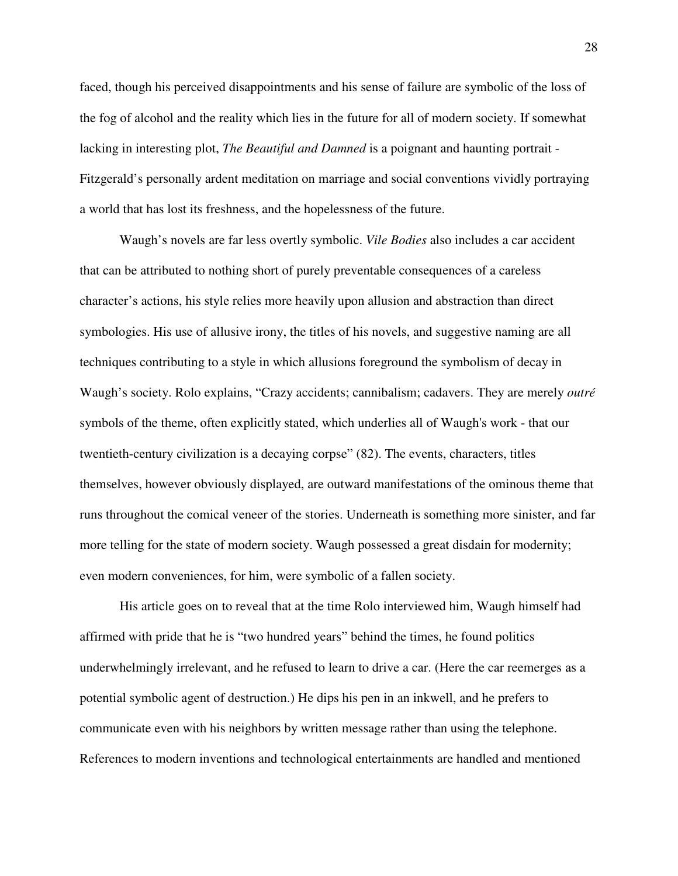faced, though his perceived disappointments and his sense of failure are symbolic of the loss of the fog of alcohol and the reality which lies in the future for all of modern society. If somewhat lacking in interesting plot, *The Beautiful and Damned* is a poignant and haunting portrait - Fitzgerald's personally ardent meditation on marriage and social conventions vividly portraying a world that has lost its freshness, and the hopelessness of the future.

Waugh's novels are far less overtly symbolic. *Vile Bodies* also includes a car accident that can be attributed to nothing short of purely preventable consequences of a careless character's actions, his style relies more heavily upon allusion and abstraction than direct symbologies. His use of allusive irony, the titles of his novels, and suggestive naming are all techniques contributing to a style in which allusions foreground the symbolism of decay in Waugh's society. Rolo explains, "Crazy accidents; cannibalism; cadavers. They are merely *outré* symbols of the theme, often explicitly stated, which underlies all of Waugh's work - that our twentieth-century civilization is a decaying corpse" (82). The events, characters, titles themselves, however obviously displayed, are outward manifestations of the ominous theme that runs throughout the comical veneer of the stories. Underneath is something more sinister, and far more telling for the state of modern society. Waugh possessed a great disdain for modernity; even modern conveniences, for him, were symbolic of a fallen society.

His article goes on to reveal that at the time Rolo interviewed him, Waugh himself had affirmed with pride that he is "two hundred years" behind the times, he found politics underwhelmingly irrelevant, and he refused to learn to drive a car. (Here the car reemerges as a potential symbolic agent of destruction.) He dips his pen in an inkwell, and he prefers to communicate even with his neighbors by written message rather than using the telephone. References to modern inventions and technological entertainments are handled and mentioned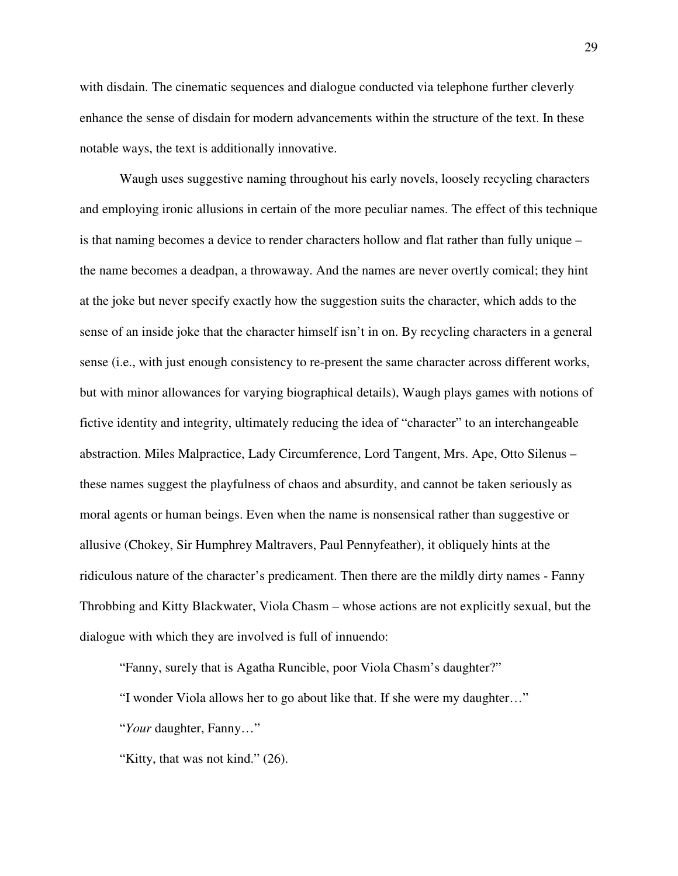with disdain. The cinematic sequences and dialogue conducted via telephone further cleverly enhance the sense of disdain for modern advancements within the structure of the text. In these notable ways, the text is additionally innovative.

Waugh uses suggestive naming throughout his early novels, loosely recycling characters and employing ironic allusions in certain of the more peculiar names. The effect of this technique is that naming becomes a device to render characters hollow and flat rather than fully unique – the name becomes a deadpan, a throwaway. And the names are never overtly comical; they hint at the joke but never specify exactly how the suggestion suits the character, which adds to the sense of an inside joke that the character himself isn't in on. By recycling characters in a general sense (i.e., with just enough consistency to re-present the same character across different works, but with minor allowances for varying biographical details), Waugh plays games with notions of fictive identity and integrity, ultimately reducing the idea of "character" to an interchangeable abstraction. Miles Malpractice, Lady Circumference, Lord Tangent, Mrs. Ape, Otto Silenus – these names suggest the playfulness of chaos and absurdity, and cannot be taken seriously as moral agents or human beings. Even when the name is nonsensical rather than suggestive or allusive (Chokey, Sir Humphrey Maltravers, Paul Pennyfeather), it obliquely hints at the ridiculous nature of the character's predicament. Then there are the mildly dirty names - Fanny Throbbing and Kitty Blackwater, Viola Chasm – whose actions are not explicitly sexual, but the dialogue with which they are involved is full of innuendo:

"Fanny, surely that is Agatha Runcible, poor Viola Chasm's daughter?"

"I wonder Viola allows her to go about like that. If she were my daughter…"

"*Your* daughter, Fanny…"

"Kitty, that was not kind." (26).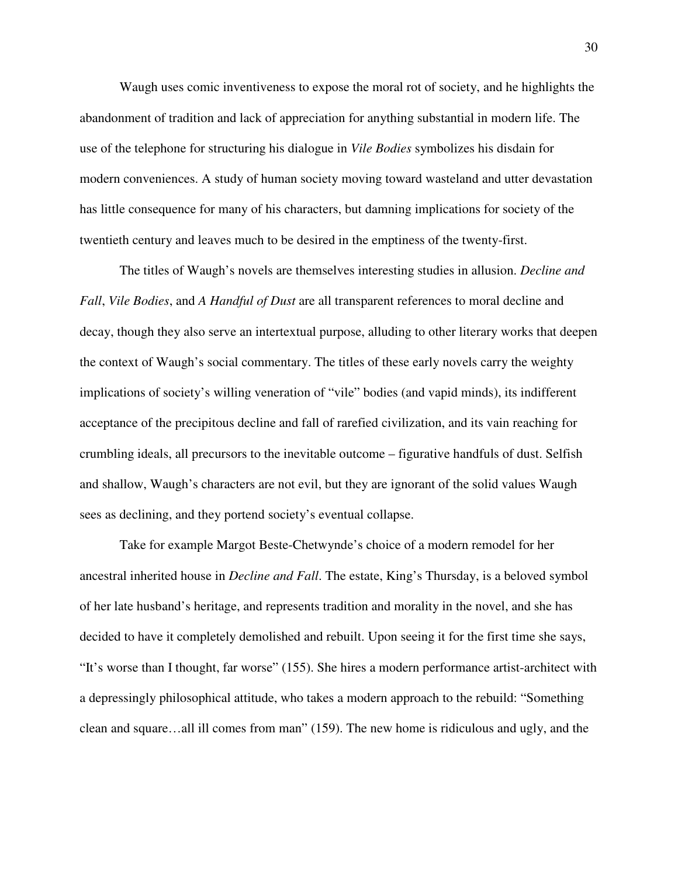Waugh uses comic inventiveness to expose the moral rot of society, and he highlights the abandonment of tradition and lack of appreciation for anything substantial in modern life. The use of the telephone for structuring his dialogue in *Vile Bodies* symbolizes his disdain for modern conveniences. A study of human society moving toward wasteland and utter devastation has little consequence for many of his characters, but damning implications for society of the twentieth century and leaves much to be desired in the emptiness of the twenty-first.

The titles of Waugh's novels are themselves interesting studies in allusion. *Decline and Fall*, *Vile Bodies*, and *A Handful of Dust* are all transparent references to moral decline and decay, though they also serve an intertextual purpose, alluding to other literary works that deepen the context of Waugh's social commentary. The titles of these early novels carry the weighty implications of society's willing veneration of "vile" bodies (and vapid minds), its indifferent acceptance of the precipitous decline and fall of rarefied civilization, and its vain reaching for crumbling ideals, all precursors to the inevitable outcome – figurative handfuls of dust. Selfish and shallow, Waugh's characters are not evil, but they are ignorant of the solid values Waugh sees as declining, and they portend society's eventual collapse.

Take for example Margot Beste-Chetwynde's choice of a modern remodel for her ancestral inherited house in *Decline and Fall*. The estate, King's Thursday, is a beloved symbol of her late husband's heritage, and represents tradition and morality in the novel, and she has decided to have it completely demolished and rebuilt. Upon seeing it for the first time she says, "It's worse than I thought, far worse" (155). She hires a modern performance artist-architect with a depressingly philosophical attitude, who takes a modern approach to the rebuild: "Something clean and square…all ill comes from man" (159). The new home is ridiculous and ugly, and the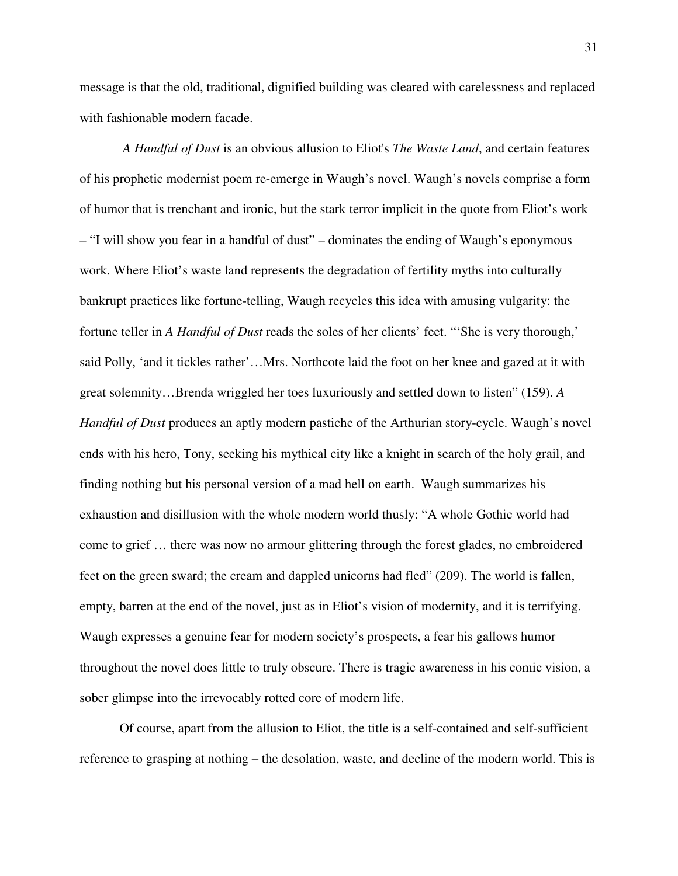message is that the old, traditional, dignified building was cleared with carelessness and replaced with fashionable modern facade.

*A Handful of Dust* is an obvious allusion to Eliot's *The Waste Land*, and certain features of his prophetic modernist poem re-emerge in Waugh's novel. Waugh's novels comprise a form of humor that is trenchant and ironic, but the stark terror implicit in the quote from Eliot's work – "I will show you fear in a handful of dust" – dominates the ending of Waugh's eponymous work. Where Eliot's waste land represents the degradation of fertility myths into culturally bankrupt practices like fortune-telling, Waugh recycles this idea with amusing vulgarity: the fortune teller in *A Handful of Dust* reads the soles of her clients' feet. "'She is very thorough,' said Polly, 'and it tickles rather'…Mrs. Northcote laid the foot on her knee and gazed at it with great solemnity…Brenda wriggled her toes luxuriously and settled down to listen" (159). *A Handful of Dust* produces an aptly modern pastiche of the Arthurian story-cycle. Waugh's novel ends with his hero, Tony, seeking his mythical city like a knight in search of the holy grail, and finding nothing but his personal version of a mad hell on earth. Waugh summarizes his exhaustion and disillusion with the whole modern world thusly: "A whole Gothic world had come to grief … there was now no armour glittering through the forest glades, no embroidered feet on the green sward; the cream and dappled unicorns had fled" (209). The world is fallen, empty, barren at the end of the novel, just as in Eliot's vision of modernity, and it is terrifying. Waugh expresses a genuine fear for modern society's prospects, a fear his gallows humor throughout the novel does little to truly obscure. There is tragic awareness in his comic vision, a sober glimpse into the irrevocably rotted core of modern life.

Of course, apart from the allusion to Eliot, the title is a self-contained and self-sufficient reference to grasping at nothing – the desolation, waste, and decline of the modern world. This is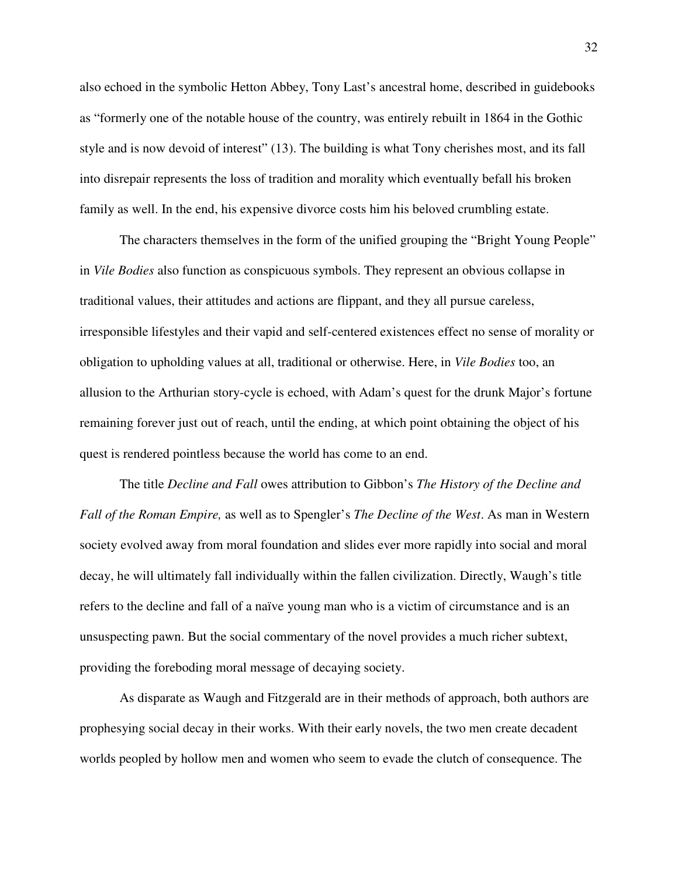also echoed in the symbolic Hetton Abbey, Tony Last's ancestral home, described in guidebooks as "formerly one of the notable house of the country, was entirely rebuilt in 1864 in the Gothic style and is now devoid of interest" (13). The building is what Tony cherishes most, and its fall into disrepair represents the loss of tradition and morality which eventually befall his broken family as well. In the end, his expensive divorce costs him his beloved crumbling estate.

The characters themselves in the form of the unified grouping the "Bright Young People" in *Vile Bodies* also function as conspicuous symbols. They represent an obvious collapse in traditional values, their attitudes and actions are flippant, and they all pursue careless, irresponsible lifestyles and their vapid and self-centered existences effect no sense of morality or obligation to upholding values at all, traditional or otherwise. Here, in *Vile Bodies* too, an allusion to the Arthurian story-cycle is echoed, with Adam's quest for the drunk Major's fortune remaining forever just out of reach, until the ending, at which point obtaining the object of his quest is rendered pointless because the world has come to an end.

 The title *Decline and Fall* owes attribution to Gibbon's *The History of the Decline and Fall of the Roman Empire,* as well as to Spengler's *The Decline of the West*. As man in Western society evolved away from moral foundation and slides ever more rapidly into social and moral decay, he will ultimately fall individually within the fallen civilization. Directly, Waugh's title refers to the decline and fall of a naïve young man who is a victim of circumstance and is an unsuspecting pawn. But the social commentary of the novel provides a much richer subtext, providing the foreboding moral message of decaying society.

 As disparate as Waugh and Fitzgerald are in their methods of approach, both authors are prophesying social decay in their works. With their early novels, the two men create decadent worlds peopled by hollow men and women who seem to evade the clutch of consequence. The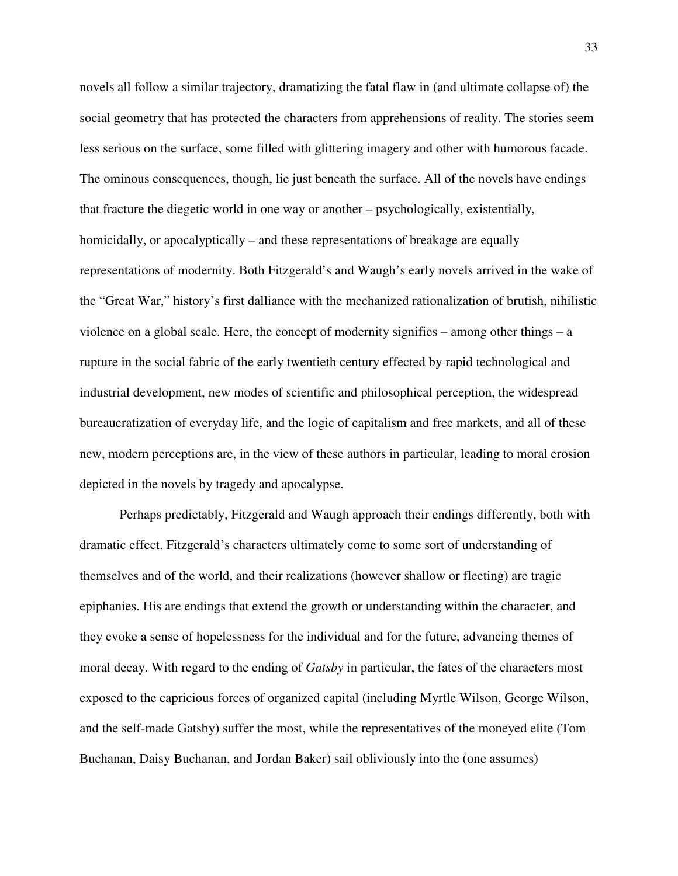novels all follow a similar trajectory, dramatizing the fatal flaw in (and ultimate collapse of) the social geometry that has protected the characters from apprehensions of reality. The stories seem less serious on the surface, some filled with glittering imagery and other with humorous facade. The ominous consequences, though, lie just beneath the surface. All of the novels have endings that fracture the diegetic world in one way or another – psychologically, existentially, homicidally, or apocalyptically – and these representations of breakage are equally representations of modernity. Both Fitzgerald's and Waugh's early novels arrived in the wake of the "Great War," history's first dalliance with the mechanized rationalization of brutish, nihilistic violence on a global scale. Here, the concept of modernity signifies – among other things – a rupture in the social fabric of the early twentieth century effected by rapid technological and industrial development, new modes of scientific and philosophical perception, the widespread bureaucratization of everyday life, and the logic of capitalism and free markets, and all of these new, modern perceptions are, in the view of these authors in particular, leading to moral erosion depicted in the novels by tragedy and apocalypse.

Perhaps predictably, Fitzgerald and Waugh approach their endings differently, both with dramatic effect. Fitzgerald's characters ultimately come to some sort of understanding of themselves and of the world, and their realizations (however shallow or fleeting) are tragic epiphanies. His are endings that extend the growth or understanding within the character, and they evoke a sense of hopelessness for the individual and for the future, advancing themes of moral decay. With regard to the ending of *Gatsby* in particular, the fates of the characters most exposed to the capricious forces of organized capital (including Myrtle Wilson, George Wilson, and the self-made Gatsby) suffer the most, while the representatives of the moneyed elite (Tom Buchanan, Daisy Buchanan, and Jordan Baker) sail obliviously into the (one assumes)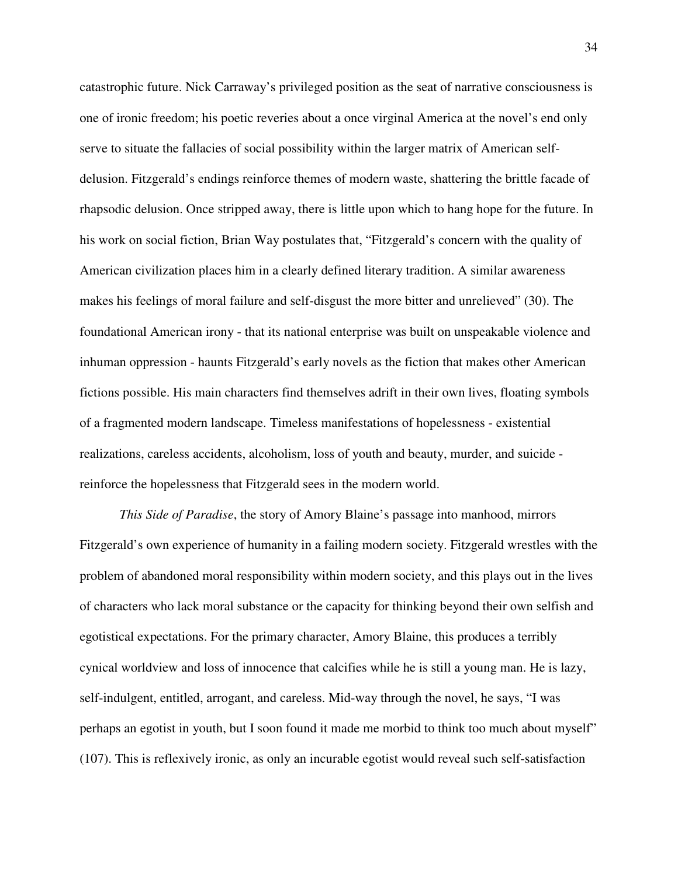catastrophic future. Nick Carraway's privileged position as the seat of narrative consciousness is one of ironic freedom; his poetic reveries about a once virginal America at the novel's end only serve to situate the fallacies of social possibility within the larger matrix of American selfdelusion. Fitzgerald's endings reinforce themes of modern waste, shattering the brittle facade of rhapsodic delusion. Once stripped away, there is little upon which to hang hope for the future. In his work on social fiction, Brian Way postulates that, "Fitzgerald's concern with the quality of American civilization places him in a clearly defined literary tradition. A similar awareness makes his feelings of moral failure and self-disgust the more bitter and unrelieved" (30). The foundational American irony - that its national enterprise was built on unspeakable violence and inhuman oppression - haunts Fitzgerald's early novels as the fiction that makes other American fictions possible. His main characters find themselves adrift in their own lives, floating symbols of a fragmented modern landscape. Timeless manifestations of hopelessness - existential realizations, careless accidents, alcoholism, loss of youth and beauty, murder, and suicide reinforce the hopelessness that Fitzgerald sees in the modern world.

*This Side of Paradise*, the story of Amory Blaine's passage into manhood, mirrors Fitzgerald's own experience of humanity in a failing modern society. Fitzgerald wrestles with the problem of abandoned moral responsibility within modern society, and this plays out in the lives of characters who lack moral substance or the capacity for thinking beyond their own selfish and egotistical expectations. For the primary character, Amory Blaine, this produces a terribly cynical worldview and loss of innocence that calcifies while he is still a young man. He is lazy, self-indulgent, entitled, arrogant, and careless. Mid-way through the novel, he says, "I was perhaps an egotist in youth, but I soon found it made me morbid to think too much about myself" (107). This is reflexively ironic, as only an incurable egotist would reveal such self-satisfaction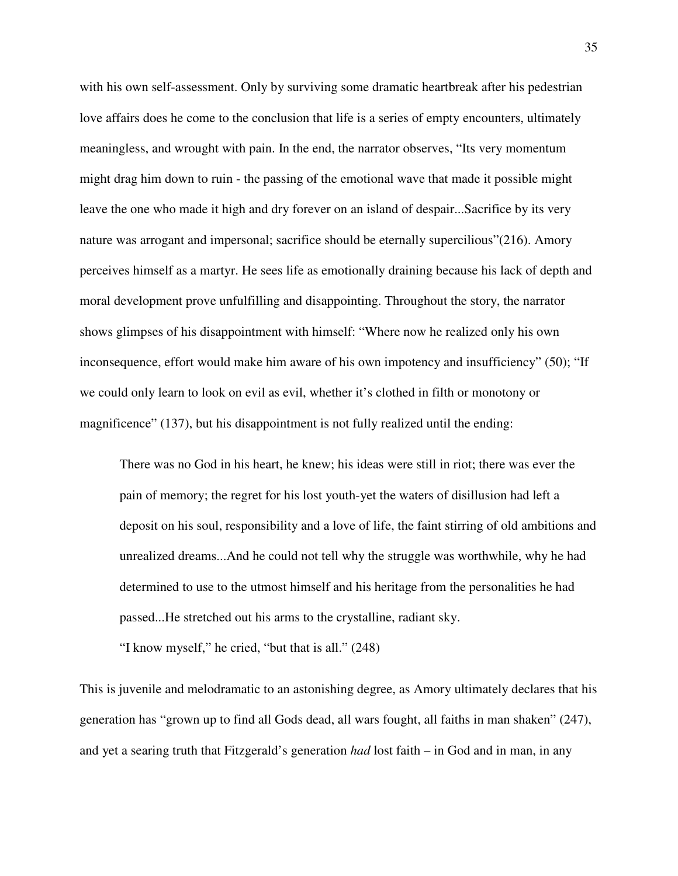with his own self-assessment. Only by surviving some dramatic heartbreak after his pedestrian love affairs does he come to the conclusion that life is a series of empty encounters, ultimately meaningless, and wrought with pain. In the end, the narrator observes, "Its very momentum might drag him down to ruin - the passing of the emotional wave that made it possible might leave the one who made it high and dry forever on an island of despair...Sacrifice by its very nature was arrogant and impersonal; sacrifice should be eternally supercilious"(216). Amory perceives himself as a martyr. He sees life as emotionally draining because his lack of depth and moral development prove unfulfilling and disappointing. Throughout the story, the narrator shows glimpses of his disappointment with himself: "Where now he realized only his own inconsequence, effort would make him aware of his own impotency and insufficiency" (50); "If we could only learn to look on evil as evil, whether it's clothed in filth or monotony or magnificence" (137), but his disappointment is not fully realized until the ending:

There was no God in his heart, he knew; his ideas were still in riot; there was ever the pain of memory; the regret for his lost youth-yet the waters of disillusion had left a deposit on his soul, responsibility and a love of life, the faint stirring of old ambitions and unrealized dreams...And he could not tell why the struggle was worthwhile, why he had determined to use to the utmost himself and his heritage from the personalities he had passed...He stretched out his arms to the crystalline, radiant sky.

"I know myself," he cried, "but that is all." (248)

This is juvenile and melodramatic to an astonishing degree, as Amory ultimately declares that his generation has "grown up to find all Gods dead, all wars fought, all faiths in man shaken" (247), and yet a searing truth that Fitzgerald's generation *had* lost faith – in God and in man, in any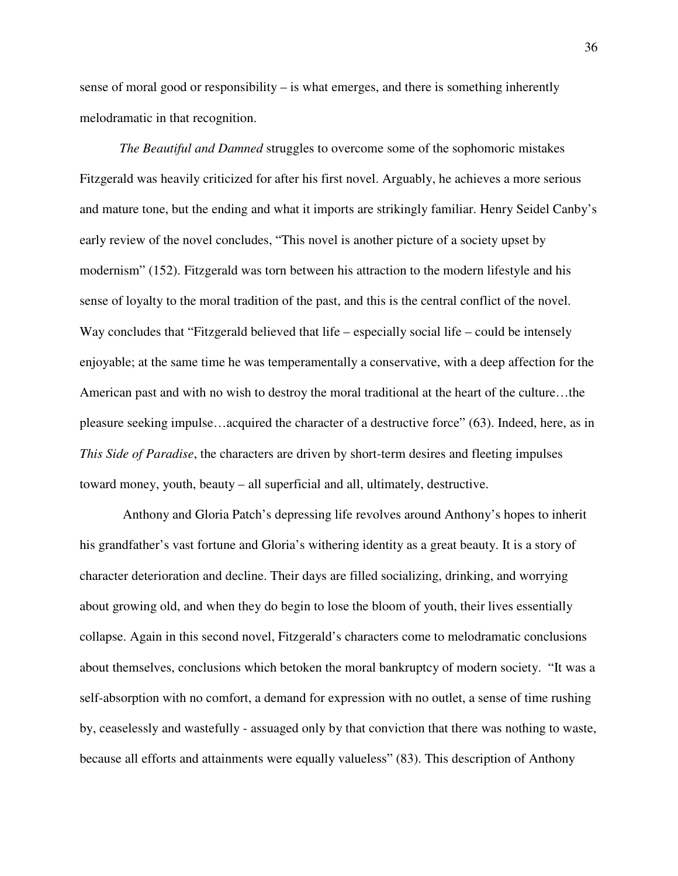sense of moral good or responsibility – is what emerges, and there is something inherently melodramatic in that recognition.

*The Beautiful and Damned* struggles to overcome some of the sophomoric mistakes Fitzgerald was heavily criticized for after his first novel. Arguably, he achieves a more serious and mature tone, but the ending and what it imports are strikingly familiar. Henry Seidel Canby's early review of the novel concludes, "This novel is another picture of a society upset by modernism" (152). Fitzgerald was torn between his attraction to the modern lifestyle and his sense of loyalty to the moral tradition of the past, and this is the central conflict of the novel. Way concludes that "Fitzgerald believed that life – especially social life – could be intensely enjoyable; at the same time he was temperamentally a conservative, with a deep affection for the American past and with no wish to destroy the moral traditional at the heart of the culture…the pleasure seeking impulse…acquired the character of a destructive force" (63). Indeed, here, as in *This Side of Paradise*, the characters are driven by short-term desires and fleeting impulses toward money, youth, beauty – all superficial and all, ultimately, destructive.

 Anthony and Gloria Patch's depressing life revolves around Anthony's hopes to inherit his grandfather's vast fortune and Gloria's withering identity as a great beauty. It is a story of character deterioration and decline. Their days are filled socializing, drinking, and worrying about growing old, and when they do begin to lose the bloom of youth, their lives essentially collapse. Again in this second novel, Fitzgerald's characters come to melodramatic conclusions about themselves, conclusions which betoken the moral bankruptcy of modern society. "It was a self-absorption with no comfort, a demand for expression with no outlet, a sense of time rushing by, ceaselessly and wastefully - assuaged only by that conviction that there was nothing to waste, because all efforts and attainments were equally valueless" (83). This description of Anthony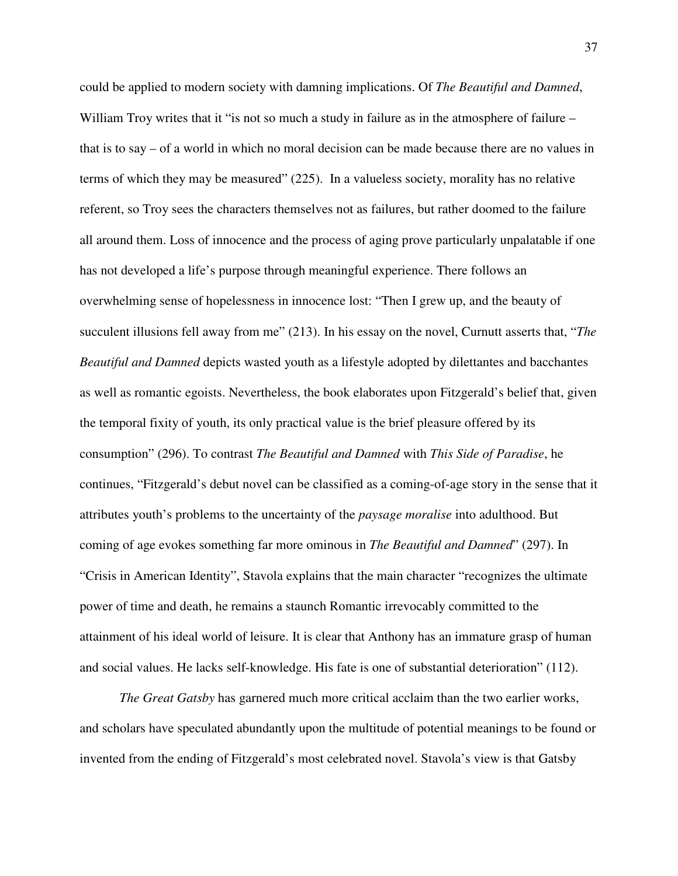could be applied to modern society with damning implications. Of *The Beautiful and Damned*, William Troy writes that it "is not so much a study in failure as in the atmosphere of failure – that is to say – of a world in which no moral decision can be made because there are no values in terms of which they may be measured" (225). In a valueless society, morality has no relative referent, so Troy sees the characters themselves not as failures, but rather doomed to the failure all around them. Loss of innocence and the process of aging prove particularly unpalatable if one has not developed a life's purpose through meaningful experience. There follows an overwhelming sense of hopelessness in innocence lost: "Then I grew up, and the beauty of succulent illusions fell away from me" (213). In his essay on the novel, Curnutt asserts that, "*The Beautiful and Damned* depicts wasted youth as a lifestyle adopted by dilettantes and bacchantes as well as romantic egoists. Nevertheless, the book elaborates upon Fitzgerald's belief that, given the temporal fixity of youth, its only practical value is the brief pleasure offered by its consumption" (296). To contrast *The Beautiful and Damned* with *This Side of Paradise*, he continues, "Fitzgerald's debut novel can be classified as a coming-of-age story in the sense that it attributes youth's problems to the uncertainty of the *paysage moralise* into adulthood. But coming of age evokes something far more ominous in *The Beautiful and Damned*" (297). In "Crisis in American Identity", Stavola explains that the main character "recognizes the ultimate power of time and death, he remains a staunch Romantic irrevocably committed to the attainment of his ideal world of leisure. It is clear that Anthony has an immature grasp of human and social values. He lacks self-knowledge. His fate is one of substantial deterioration" (112).

*The Great Gatsby* has garnered much more critical acclaim than the two earlier works, and scholars have speculated abundantly upon the multitude of potential meanings to be found or invented from the ending of Fitzgerald's most celebrated novel. Stavola's view is that Gatsby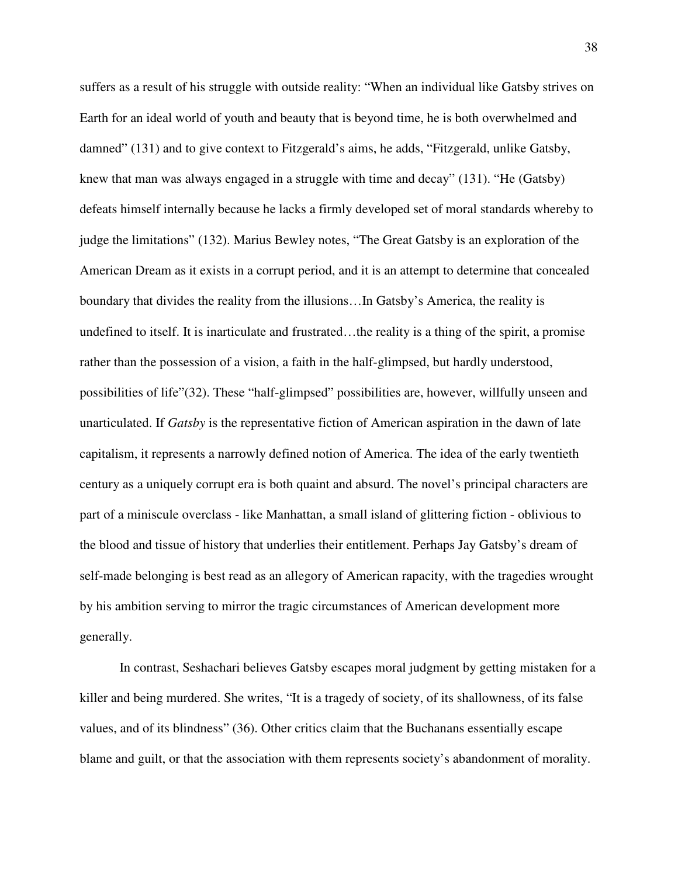suffers as a result of his struggle with outside reality: "When an individual like Gatsby strives on Earth for an ideal world of youth and beauty that is beyond time, he is both overwhelmed and damned" (131) and to give context to Fitzgerald's aims, he adds, "Fitzgerald, unlike Gatsby, knew that man was always engaged in a struggle with time and decay" (131). "He (Gatsby) defeats himself internally because he lacks a firmly developed set of moral standards whereby to judge the limitations" (132). Marius Bewley notes, "The Great Gatsby is an exploration of the American Dream as it exists in a corrupt period, and it is an attempt to determine that concealed boundary that divides the reality from the illusions…In Gatsby's America, the reality is undefined to itself. It is inarticulate and frustrated...the reality is a thing of the spirit, a promise rather than the possession of a vision, a faith in the half-glimpsed, but hardly understood, possibilities of life"(32). These "half-glimpsed" possibilities are, however, willfully unseen and unarticulated. If *Gatsby* is the representative fiction of American aspiration in the dawn of late capitalism, it represents a narrowly defined notion of America. The idea of the early twentieth century as a uniquely corrupt era is both quaint and absurd. The novel's principal characters are part of a miniscule overclass - like Manhattan, a small island of glittering fiction - oblivious to the blood and tissue of history that underlies their entitlement. Perhaps Jay Gatsby's dream of self-made belonging is best read as an allegory of American rapacity, with the tragedies wrought by his ambition serving to mirror the tragic circumstances of American development more generally.

In contrast, Seshachari believes Gatsby escapes moral judgment by getting mistaken for a killer and being murdered. She writes, "It is a tragedy of society, of its shallowness, of its false values, and of its blindness" (36). Other critics claim that the Buchanans essentially escape blame and guilt, or that the association with them represents society's abandonment of morality.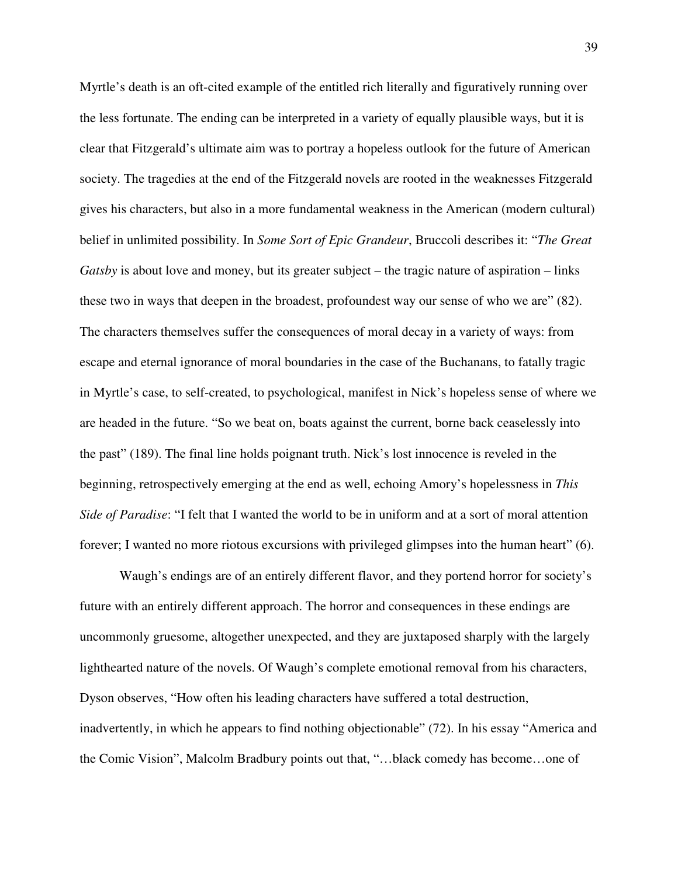Myrtle's death is an oft-cited example of the entitled rich literally and figuratively running over the less fortunate. The ending can be interpreted in a variety of equally plausible ways, but it is clear that Fitzgerald's ultimate aim was to portray a hopeless outlook for the future of American society. The tragedies at the end of the Fitzgerald novels are rooted in the weaknesses Fitzgerald gives his characters, but also in a more fundamental weakness in the American (modern cultural) belief in unlimited possibility. In *Some Sort of Epic Grandeur*, Bruccoli describes it: "*The Great Gatsby* is about love and money, but its greater subject – the tragic nature of aspiration – links these two in ways that deepen in the broadest, profoundest way our sense of who we are" (82). The characters themselves suffer the consequences of moral decay in a variety of ways: from escape and eternal ignorance of moral boundaries in the case of the Buchanans, to fatally tragic in Myrtle's case, to self-created, to psychological, manifest in Nick's hopeless sense of where we are headed in the future. "So we beat on, boats against the current, borne back ceaselessly into the past" (189). The final line holds poignant truth. Nick's lost innocence is reveled in the beginning, retrospectively emerging at the end as well, echoing Amory's hopelessness in *This Side of Paradise*: "I felt that I wanted the world to be in uniform and at a sort of moral attention forever; I wanted no more riotous excursions with privileged glimpses into the human heart" (6).

Waugh's endings are of an entirely different flavor, and they portend horror for society's future with an entirely different approach. The horror and consequences in these endings are uncommonly gruesome, altogether unexpected, and they are juxtaposed sharply with the largely lighthearted nature of the novels. Of Waugh's complete emotional removal from his characters, Dyson observes, "How often his leading characters have suffered a total destruction, inadvertently, in which he appears to find nothing objectionable" (72). In his essay "America and the Comic Vision", Malcolm Bradbury points out that, "…black comedy has become…one of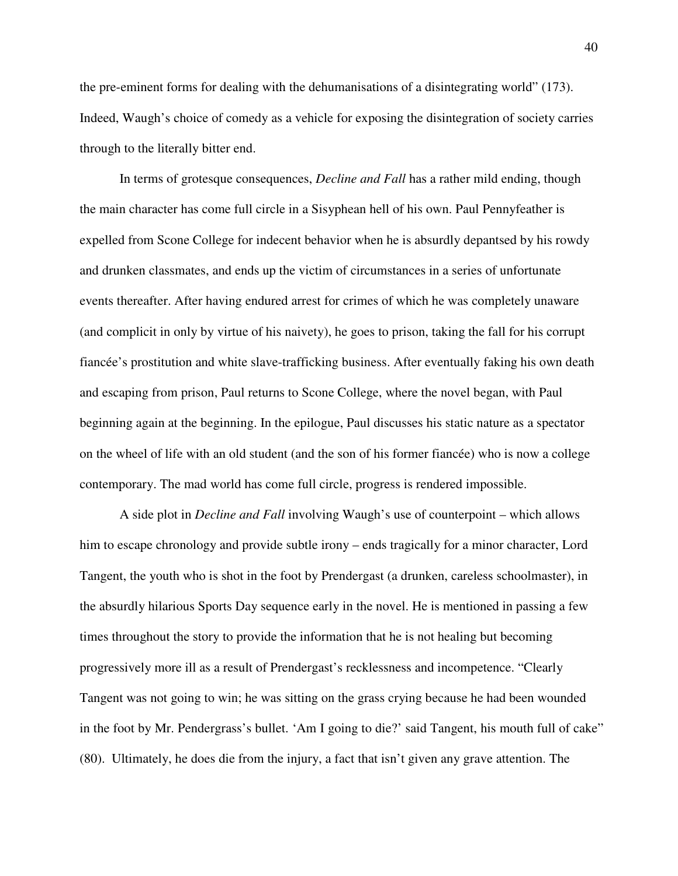the pre-eminent forms for dealing with the dehumanisations of a disintegrating world" (173). Indeed, Waugh's choice of comedy as a vehicle for exposing the disintegration of society carries through to the literally bitter end.

In terms of grotesque consequences, *Decline and Fall* has a rather mild ending, though the main character has come full circle in a Sisyphean hell of his own. Paul Pennyfeather is expelled from Scone College for indecent behavior when he is absurdly depantsed by his rowdy and drunken classmates, and ends up the victim of circumstances in a series of unfortunate events thereafter. After having endured arrest for crimes of which he was completely unaware (and complicit in only by virtue of his naivety), he goes to prison, taking the fall for his corrupt fiancée's prostitution and white slave-trafficking business. After eventually faking his own death and escaping from prison, Paul returns to Scone College, where the novel began, with Paul beginning again at the beginning. In the epilogue, Paul discusses his static nature as a spectator on the wheel of life with an old student (and the son of his former fiancée) who is now a college contemporary. The mad world has come full circle, progress is rendered impossible.

A side plot in *Decline and Fall* involving Waugh's use of counterpoint – which allows him to escape chronology and provide subtle irony – ends tragically for a minor character, Lord Tangent, the youth who is shot in the foot by Prendergast (a drunken, careless schoolmaster), in the absurdly hilarious Sports Day sequence early in the novel. He is mentioned in passing a few times throughout the story to provide the information that he is not healing but becoming progressively more ill as a result of Prendergast's recklessness and incompetence. "Clearly Tangent was not going to win; he was sitting on the grass crying because he had been wounded in the foot by Mr. Pendergrass's bullet. 'Am I going to die?' said Tangent, his mouth full of cake" (80). Ultimately, he does die from the injury, a fact that isn't given any grave attention. The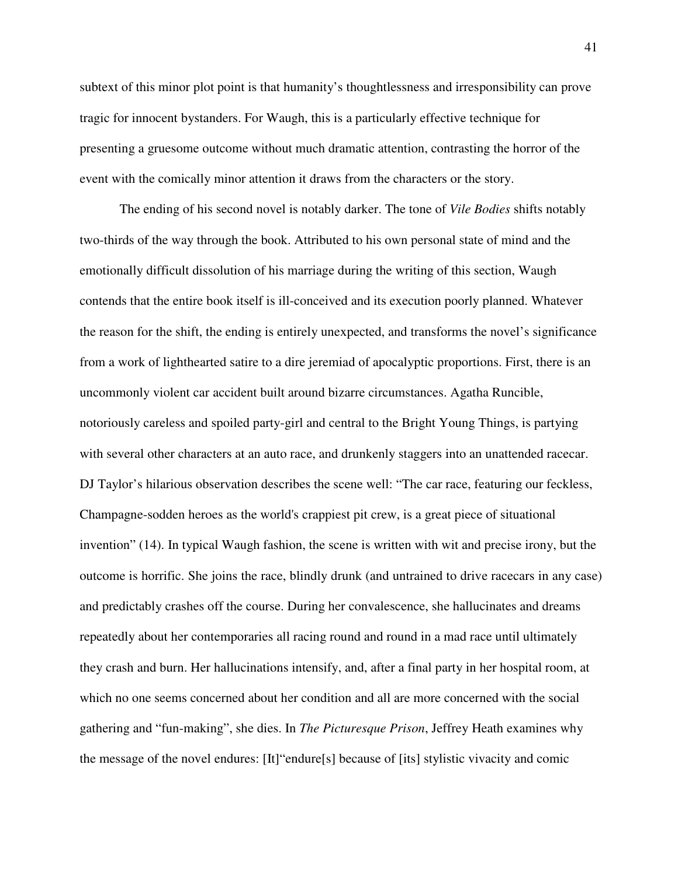subtext of this minor plot point is that humanity's thoughtlessness and irresponsibility can prove tragic for innocent bystanders. For Waugh, this is a particularly effective technique for presenting a gruesome outcome without much dramatic attention, contrasting the horror of the event with the comically minor attention it draws from the characters or the story.

The ending of his second novel is notably darker. The tone of *Vile Bodies* shifts notably two-thirds of the way through the book. Attributed to his own personal state of mind and the emotionally difficult dissolution of his marriage during the writing of this section, Waugh contends that the entire book itself is ill-conceived and its execution poorly planned. Whatever the reason for the shift, the ending is entirely unexpected, and transforms the novel's significance from a work of lighthearted satire to a dire jeremiad of apocalyptic proportions. First, there is an uncommonly violent car accident built around bizarre circumstances. Agatha Runcible, notoriously careless and spoiled party-girl and central to the Bright Young Things, is partying with several other characters at an auto race, and drunkenly staggers into an unattended racecar. DJ Taylor's hilarious observation describes the scene well: "The car race, featuring our feckless, Champagne-sodden heroes as the world's crappiest pit crew, is a great piece of situational invention" (14). In typical Waugh fashion, the scene is written with wit and precise irony, but the outcome is horrific. She joins the race, blindly drunk (and untrained to drive racecars in any case) and predictably crashes off the course. During her convalescence, she hallucinates and dreams repeatedly about her contemporaries all racing round and round in a mad race until ultimately they crash and burn. Her hallucinations intensify, and, after a final party in her hospital room, at which no one seems concerned about her condition and all are more concerned with the social gathering and "fun-making", she dies. In *The Picturesque Prison*, Jeffrey Heath examines why the message of the novel endures: [It]"endure[s] because of [its] stylistic vivacity and comic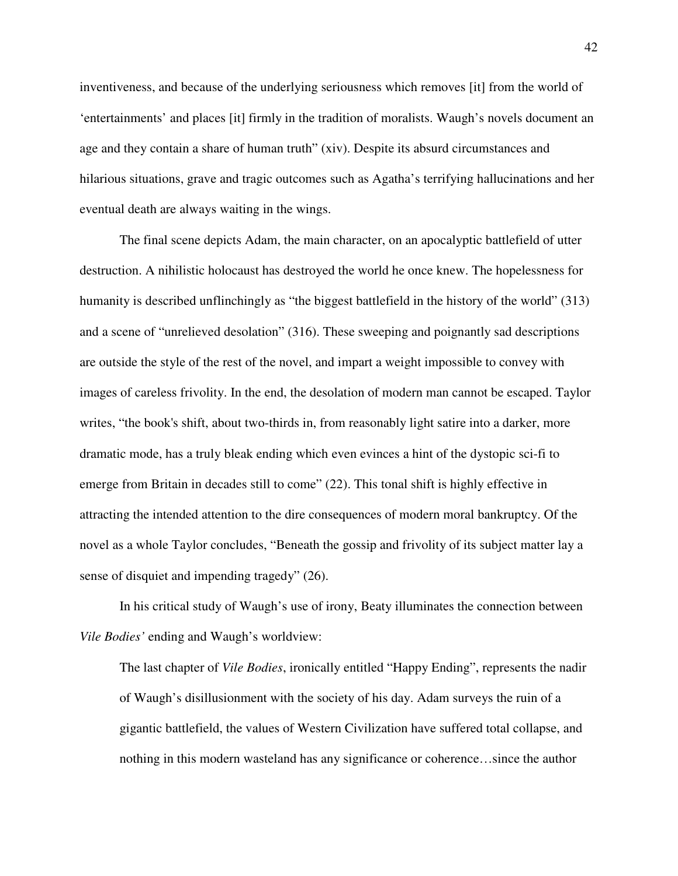inventiveness, and because of the underlying seriousness which removes [it] from the world of 'entertainments' and places [it] firmly in the tradition of moralists. Waugh's novels document an age and they contain a share of human truth" (xiv). Despite its absurd circumstances and hilarious situations, grave and tragic outcomes such as Agatha's terrifying hallucinations and her eventual death are always waiting in the wings.

The final scene depicts Adam, the main character, on an apocalyptic battlefield of utter destruction. A nihilistic holocaust has destroyed the world he once knew. The hopelessness for humanity is described unflinchingly as "the biggest battlefield in the history of the world" (313) and a scene of "unrelieved desolation" (316). These sweeping and poignantly sad descriptions are outside the style of the rest of the novel, and impart a weight impossible to convey with images of careless frivolity. In the end, the desolation of modern man cannot be escaped. Taylor writes, "the book's shift, about two-thirds in, from reasonably light satire into a darker, more dramatic mode, has a truly bleak ending which even evinces a hint of the dystopic sci-fi to emerge from Britain in decades still to come" (22). This tonal shift is highly effective in attracting the intended attention to the dire consequences of modern moral bankruptcy. Of the novel as a whole Taylor concludes, "Beneath the gossip and frivolity of its subject matter lay a sense of disquiet and impending tragedy" (26).

In his critical study of Waugh's use of irony, Beaty illuminates the connection between *Vile Bodies'* ending and Waugh's worldview:

The last chapter of *Vile Bodies*, ironically entitled "Happy Ending", represents the nadir of Waugh's disillusionment with the society of his day. Adam surveys the ruin of a gigantic battlefield, the values of Western Civilization have suffered total collapse, and nothing in this modern wasteland has any significance or coherence…since the author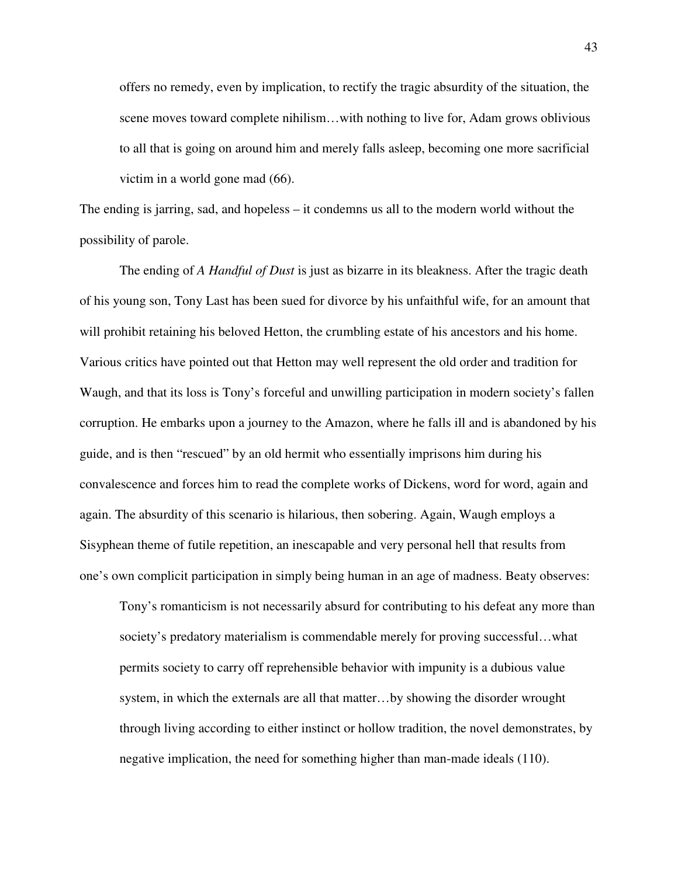offers no remedy, even by implication, to rectify the tragic absurdity of the situation, the scene moves toward complete nihilism…with nothing to live for, Adam grows oblivious to all that is going on around him and merely falls asleep, becoming one more sacrificial victim in a world gone mad (66).

The ending is jarring, sad, and hopeless – it condemns us all to the modern world without the possibility of parole.

The ending of *A Handful of Dust* is just as bizarre in its bleakness. After the tragic death of his young son, Tony Last has been sued for divorce by his unfaithful wife, for an amount that will prohibit retaining his beloved Hetton, the crumbling estate of his ancestors and his home. Various critics have pointed out that Hetton may well represent the old order and tradition for Waugh, and that its loss is Tony's forceful and unwilling participation in modern society's fallen corruption. He embarks upon a journey to the Amazon, where he falls ill and is abandoned by his guide, and is then "rescued" by an old hermit who essentially imprisons him during his convalescence and forces him to read the complete works of Dickens, word for word, again and again. The absurdity of this scenario is hilarious, then sobering. Again, Waugh employs a Sisyphean theme of futile repetition, an inescapable and very personal hell that results from one's own complicit participation in simply being human in an age of madness. Beaty observes:

Tony's romanticism is not necessarily absurd for contributing to his defeat any more than society's predatory materialism is commendable merely for proving successful…what permits society to carry off reprehensible behavior with impunity is a dubious value system, in which the externals are all that matter…by showing the disorder wrought through living according to either instinct or hollow tradition, the novel demonstrates, by negative implication, the need for something higher than man-made ideals (110).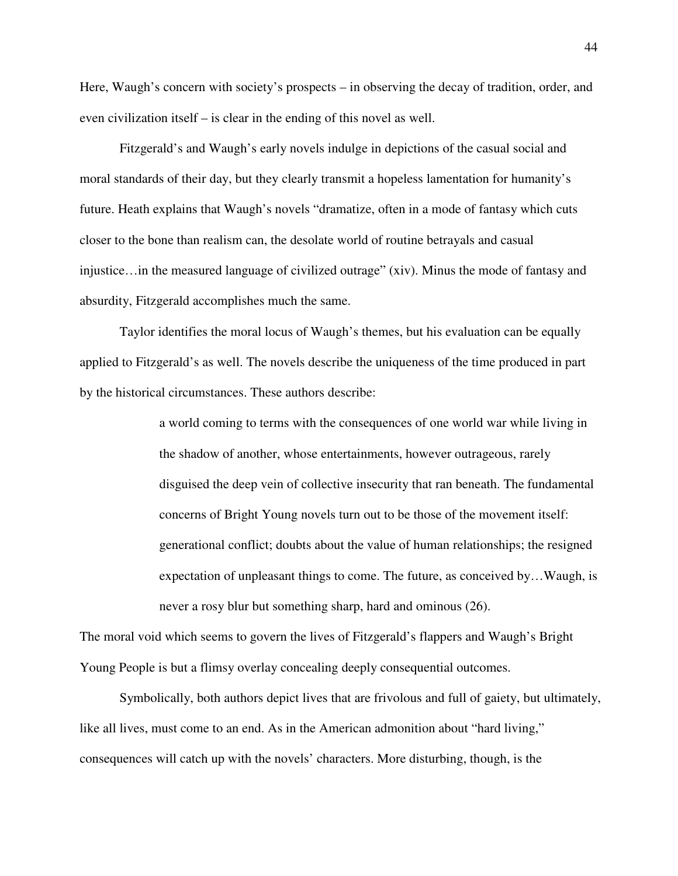Here, Waugh's concern with society's prospects – in observing the decay of tradition, order, and even civilization itself – is clear in the ending of this novel as well.

Fitzgerald's and Waugh's early novels indulge in depictions of the casual social and moral standards of their day, but they clearly transmit a hopeless lamentation for humanity's future. Heath explains that Waugh's novels "dramatize, often in a mode of fantasy which cuts closer to the bone than realism can, the desolate world of routine betrayals and casual injustice…in the measured language of civilized outrage" (xiv). Minus the mode of fantasy and absurdity, Fitzgerald accomplishes much the same.

Taylor identifies the moral locus of Waugh's themes, but his evaluation can be equally applied to Fitzgerald's as well. The novels describe the uniqueness of the time produced in part by the historical circumstances. These authors describe:

> a world coming to terms with the consequences of one world war while living in the shadow of another, whose entertainments, however outrageous, rarely disguised the deep vein of collective insecurity that ran beneath. The fundamental concerns of Bright Young novels turn out to be those of the movement itself: generational conflict; doubts about the value of human relationships; the resigned expectation of unpleasant things to come. The future, as conceived by…Waugh, is never a rosy blur but something sharp, hard and ominous (26).

The moral void which seems to govern the lives of Fitzgerald's flappers and Waugh's Bright Young People is but a flimsy overlay concealing deeply consequential outcomes.

Symbolically, both authors depict lives that are frivolous and full of gaiety, but ultimately, like all lives, must come to an end. As in the American admonition about "hard living," consequences will catch up with the novels' characters. More disturbing, though, is the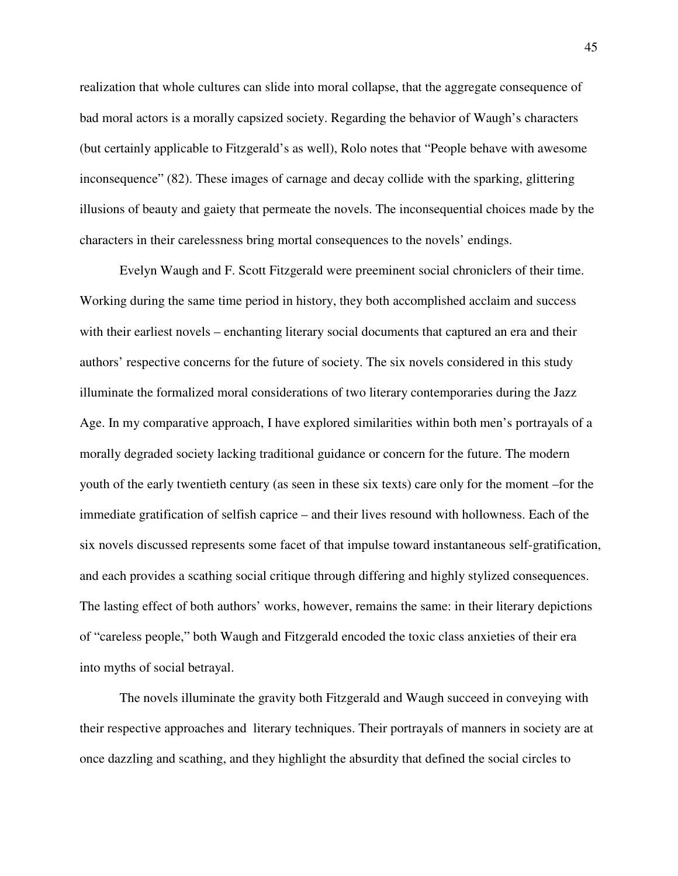realization that whole cultures can slide into moral collapse, that the aggregate consequence of bad moral actors is a morally capsized society. Regarding the behavior of Waugh's characters (but certainly applicable to Fitzgerald's as well), Rolo notes that "People behave with awesome inconsequence" (82). These images of carnage and decay collide with the sparking, glittering illusions of beauty and gaiety that permeate the novels. The inconsequential choices made by the characters in their carelessness bring mortal consequences to the novels' endings.

Evelyn Waugh and F. Scott Fitzgerald were preeminent social chroniclers of their time. Working during the same time period in history, they both accomplished acclaim and success with their earliest novels – enchanting literary social documents that captured an era and their authors' respective concerns for the future of society. The six novels considered in this study illuminate the formalized moral considerations of two literary contemporaries during the Jazz Age. In my comparative approach, I have explored similarities within both men's portrayals of a morally degraded society lacking traditional guidance or concern for the future. The modern youth of the early twentieth century (as seen in these six texts) care only for the moment –for the immediate gratification of selfish caprice – and their lives resound with hollowness. Each of the six novels discussed represents some facet of that impulse toward instantaneous self-gratification, and each provides a scathing social critique through differing and highly stylized consequences. The lasting effect of both authors' works, however, remains the same: in their literary depictions of "careless people," both Waugh and Fitzgerald encoded the toxic class anxieties of their era into myths of social betrayal.

The novels illuminate the gravity both Fitzgerald and Waugh succeed in conveying with their respective approaches and literary techniques. Their portrayals of manners in society are at once dazzling and scathing, and they highlight the absurdity that defined the social circles to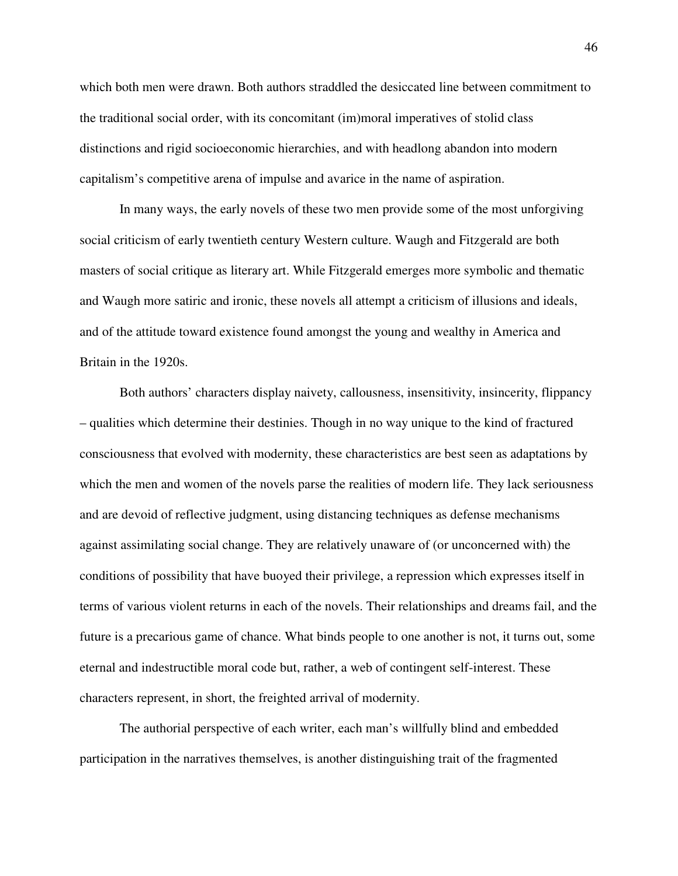which both men were drawn. Both authors straddled the desiccated line between commitment to the traditional social order, with its concomitant (im)moral imperatives of stolid class distinctions and rigid socioeconomic hierarchies, and with headlong abandon into modern capitalism's competitive arena of impulse and avarice in the name of aspiration.

In many ways, the early novels of these two men provide some of the most unforgiving social criticism of early twentieth century Western culture. Waugh and Fitzgerald are both masters of social critique as literary art. While Fitzgerald emerges more symbolic and thematic and Waugh more satiric and ironic, these novels all attempt a criticism of illusions and ideals, and of the attitude toward existence found amongst the young and wealthy in America and Britain in the 1920s.

Both authors' characters display naivety, callousness, insensitivity, insincerity, flippancy – qualities which determine their destinies. Though in no way unique to the kind of fractured consciousness that evolved with modernity, these characteristics are best seen as adaptations by which the men and women of the novels parse the realities of modern life. They lack seriousness and are devoid of reflective judgment, using distancing techniques as defense mechanisms against assimilating social change. They are relatively unaware of (or unconcerned with) the conditions of possibility that have buoyed their privilege, a repression which expresses itself in terms of various violent returns in each of the novels. Their relationships and dreams fail, and the future is a precarious game of chance. What binds people to one another is not, it turns out, some eternal and indestructible moral code but, rather, a web of contingent self-interest. These characters represent, in short, the freighted arrival of modernity.

 The authorial perspective of each writer, each man's willfully blind and embedded participation in the narratives themselves, is another distinguishing trait of the fragmented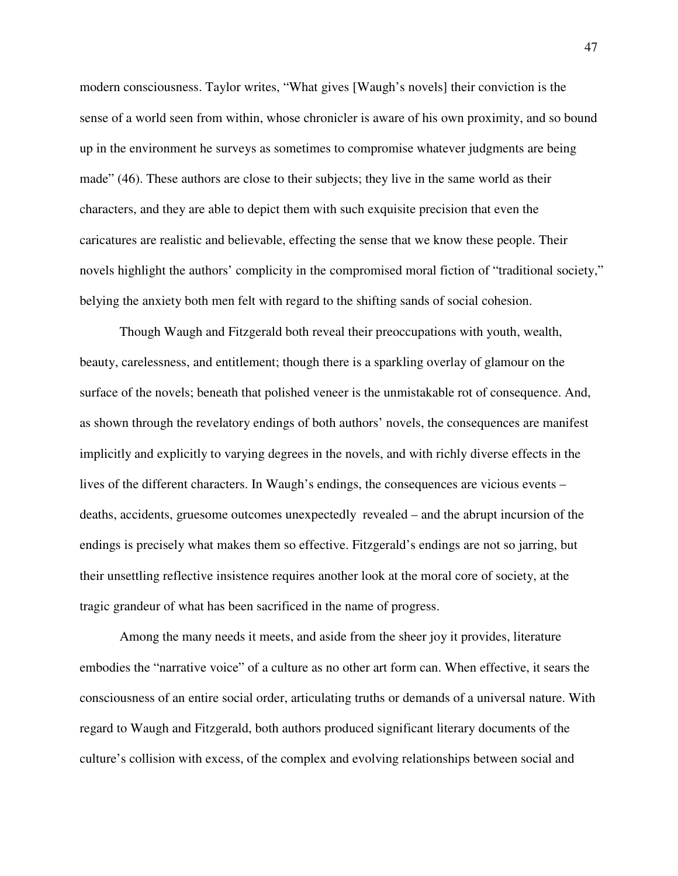modern consciousness. Taylor writes, "What gives [Waugh's novels] their conviction is the sense of a world seen from within, whose chronicler is aware of his own proximity, and so bound up in the environment he surveys as sometimes to compromise whatever judgments are being made" (46). These authors are close to their subjects; they live in the same world as their characters, and they are able to depict them with such exquisite precision that even the caricatures are realistic and believable, effecting the sense that we know these people. Their novels highlight the authors' complicity in the compromised moral fiction of "traditional society," belying the anxiety both men felt with regard to the shifting sands of social cohesion.

Though Waugh and Fitzgerald both reveal their preoccupations with youth, wealth, beauty, carelessness, and entitlement; though there is a sparkling overlay of glamour on the surface of the novels; beneath that polished veneer is the unmistakable rot of consequence. And, as shown through the revelatory endings of both authors' novels, the consequences are manifest implicitly and explicitly to varying degrees in the novels, and with richly diverse effects in the lives of the different characters. In Waugh's endings, the consequences are vicious events – deaths, accidents, gruesome outcomes unexpectedly revealed – and the abrupt incursion of the endings is precisely what makes them so effective. Fitzgerald's endings are not so jarring, but their unsettling reflective insistence requires another look at the moral core of society, at the tragic grandeur of what has been sacrificed in the name of progress.

Among the many needs it meets, and aside from the sheer joy it provides, literature embodies the "narrative voice" of a culture as no other art form can. When effective, it sears the consciousness of an entire social order, articulating truths or demands of a universal nature. With regard to Waugh and Fitzgerald, both authors produced significant literary documents of the culture's collision with excess, of the complex and evolving relationships between social and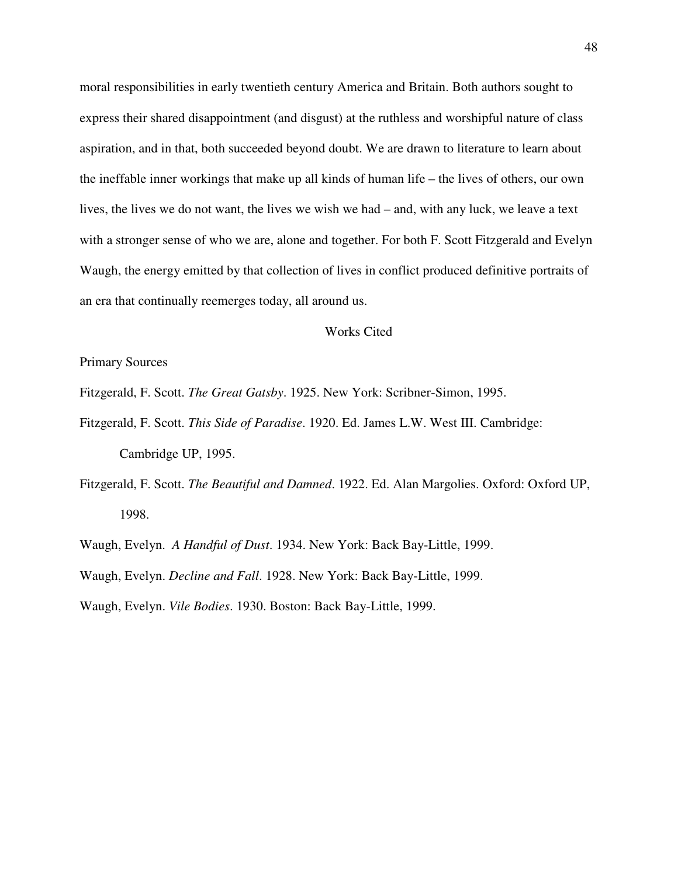moral responsibilities in early twentieth century America and Britain. Both authors sought to express their shared disappointment (and disgust) at the ruthless and worshipful nature of class aspiration, and in that, both succeeded beyond doubt. We are drawn to literature to learn about the ineffable inner workings that make up all kinds of human life – the lives of others, our own lives, the lives we do not want, the lives we wish we had – and, with any luck, we leave a text with a stronger sense of who we are, alone and together. For both F. Scott Fitzgerald and Evelyn Waugh, the energy emitted by that collection of lives in conflict produced definitive portraits of an era that continually reemerges today, all around us.

### Works Cited

## Primary Sources

- Fitzgerald, F. Scott. *The Great Gatsby*. 1925. New York: Scribner-Simon, 1995.
- Fitzgerald, F. Scott. *This Side of Paradise*. 1920. Ed. James L.W. West III. Cambridge: Cambridge UP, 1995.
- Fitzgerald, F. Scott. *The Beautiful and Damned*. 1922. Ed. Alan Margolies. Oxford: Oxford UP, 1998.

Waugh, Evelyn. *A Handful of Dust*. 1934. New York: Back Bay-Little, 1999.

Waugh, Evelyn. *Decline and Fall*. 1928. New York: Back Bay-Little, 1999.

Waugh, Evelyn. *Vile Bodies*. 1930. Boston: Back Bay-Little, 1999.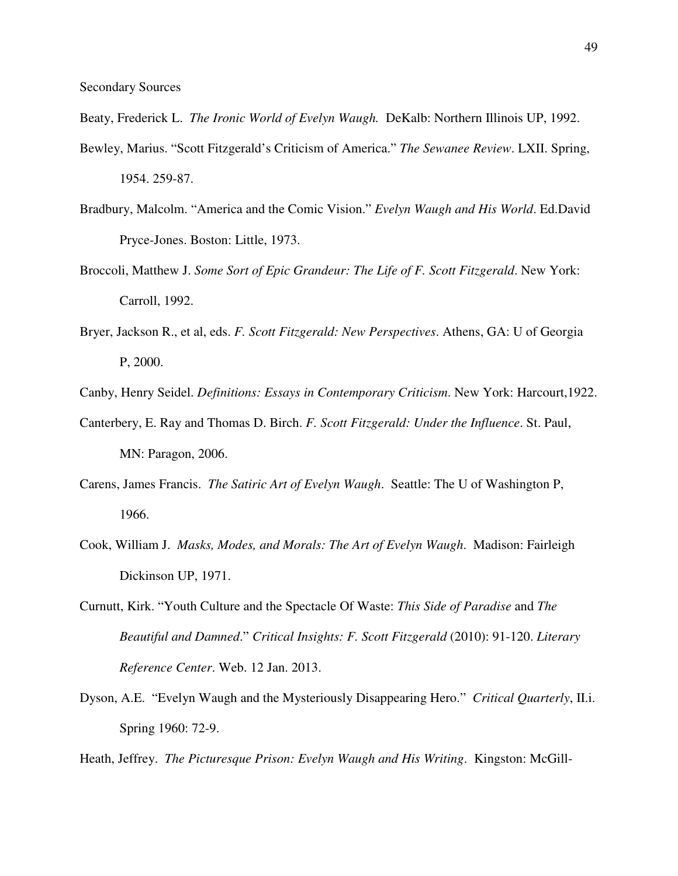Beaty, Frederick L. *The Ironic World of Evelyn Waugh.* DeKalb: Northern Illinois UP, 1992.

- Bewley, Marius. "Scott Fitzgerald's Criticism of America." *The Sewanee Review*. LXII. Spring, 1954. 259-87.
- Bradbury, Malcolm. "America and the Comic Vision." *Evelyn Waugh and His World*. Ed.David Pryce-Jones. Boston: Little, 1973.
- Broccoli, Matthew J. *Some Sort of Epic Grandeur: The Life of F. Scott Fitzgerald*. New York: Carroll, 1992.
- Bryer, Jackson R., et al, eds. *F. Scott Fitzgerald: New Perspectives*. Athens, GA: U of Georgia P, 2000.
- Canby, Henry Seidel. *Definitions: Essays in Contemporary Criticism*. New York: Harcourt,1922.
- Canterbery, E. Ray and Thomas D. Birch. *F. Scott Fitzgerald: Under the Influence*. St. Paul, MN: Paragon, 2006.
- Carens, James Francis. *The Satiric Art of Evelyn Waugh*. Seattle: The U of Washington P, 1966.
- Cook, William J. *Masks, Modes, and Morals: The Art of Evelyn Waugh*. Madison: Fairleigh Dickinson UP, 1971.
- Curnutt, Kirk. "Youth Culture and the Spectacle Of Waste: *This Side of Paradise* and *The Beautiful and Damned*." *Critical Insights: F. Scott Fitzgerald* (2010): 91-120. *Literary Reference Center*. Web. 12 Jan. 2013.
- Dyson, A.E. "Evelyn Waugh and the Mysteriously Disappearing Hero." *Critical Quarterly*, II.i. Spring 1960: 72-9.

Heath, Jeffrey. *The Picturesque Prison: Evelyn Waugh and His Writing*. Kingston: McGill-